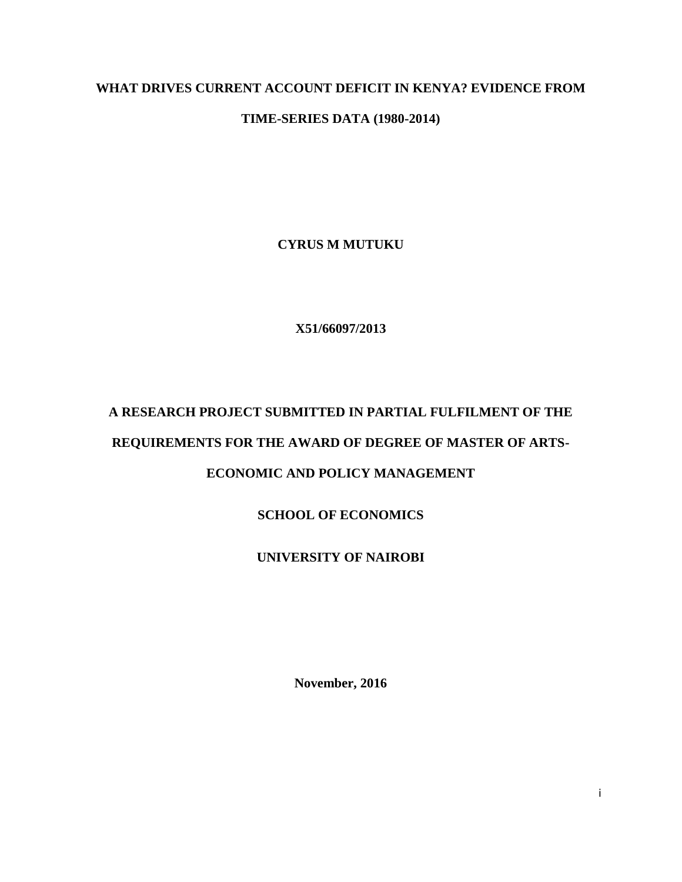# **WHAT DRIVES CURRENT ACCOUNT DEFICIT IN KENYA? EVIDENCE FROM**

# **TIME-SERIES DATA (1980-2014)**

**CYRUS M MUTUKU**

**X51/66097/2013**

# **A RESEARCH PROJECT SUBMITTED IN PARTIAL FULFILMENT OF THE REQUIREMENTS FOR THE AWARD OF DEGREE OF MASTER OF ARTS-ECONOMIC AND POLICY MANAGEMENT**

# **SCHOOL OF ECONOMICS**

# **UNIVERSITY OF NAIROBI**

**November, 2016**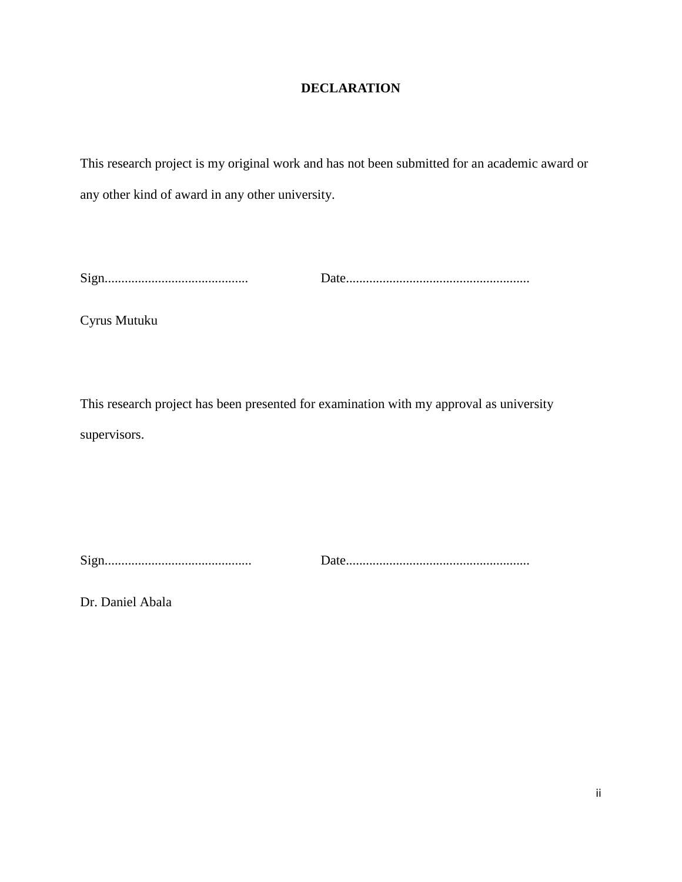# **DECLARATION**

<span id="page-1-0"></span>This research project is my original work and has not been submitted for an academic award or any other kind of award in any other university.

Sign........................................... Date.......................................................

Cyrus Mutuku

This research project has been presented for examination with my approval as university supervisors.

Sign............................................ Date.......................................................

Dr. Daniel Abala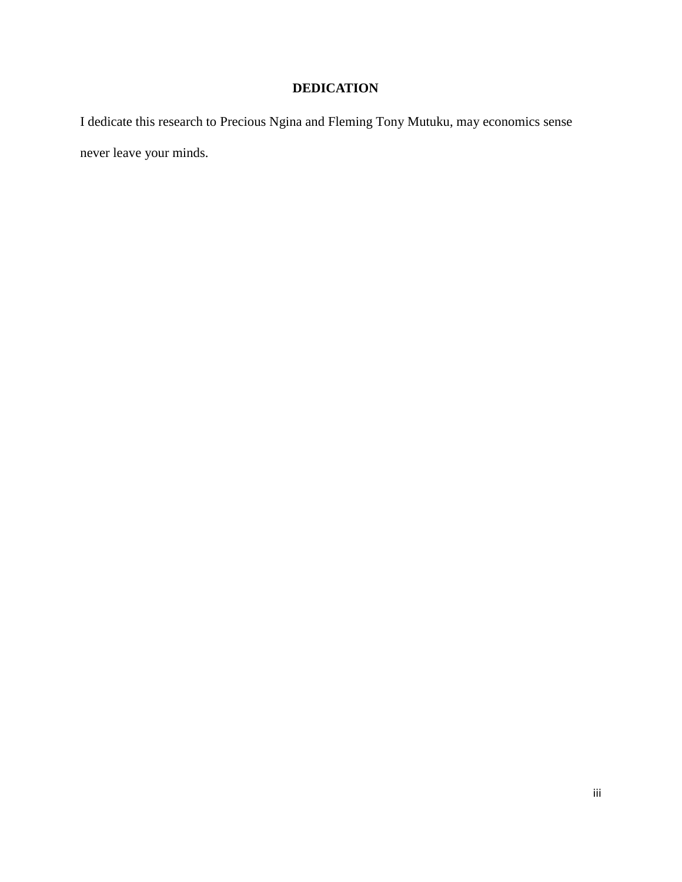# **DEDICATION**

<span id="page-2-0"></span>I dedicate this research to Precious Ngina and Fleming Tony Mutuku, may economics sense never leave your minds.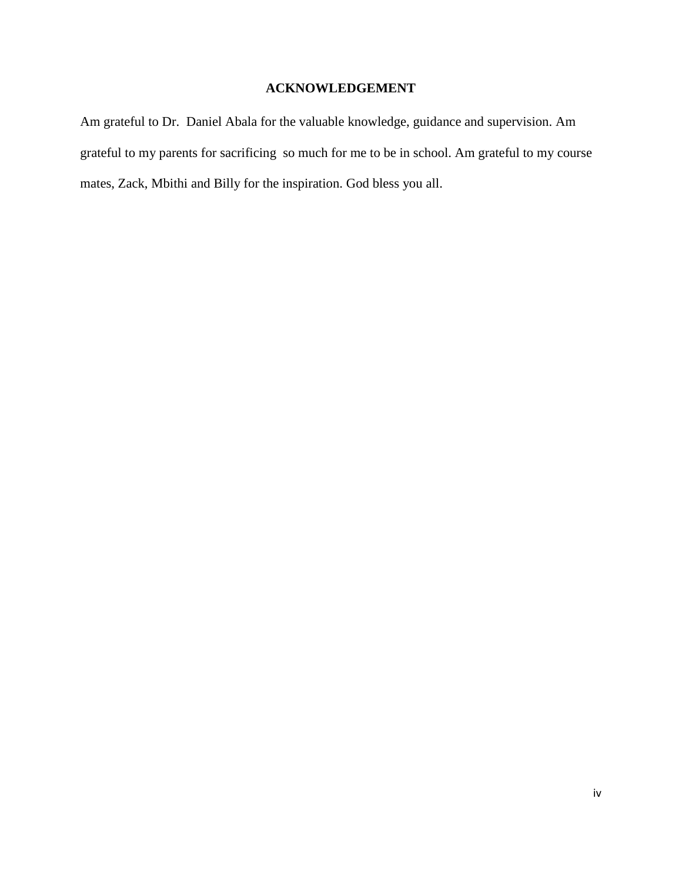# **ACKNOWLEDGEMENT**

<span id="page-3-0"></span>Am grateful to Dr. Daniel Abala for the valuable knowledge, guidance and supervision. Am grateful to my parents for sacrificing so much for me to be in school. Am grateful to my course mates, Zack, Mbithi and Billy for the inspiration. God bless you all.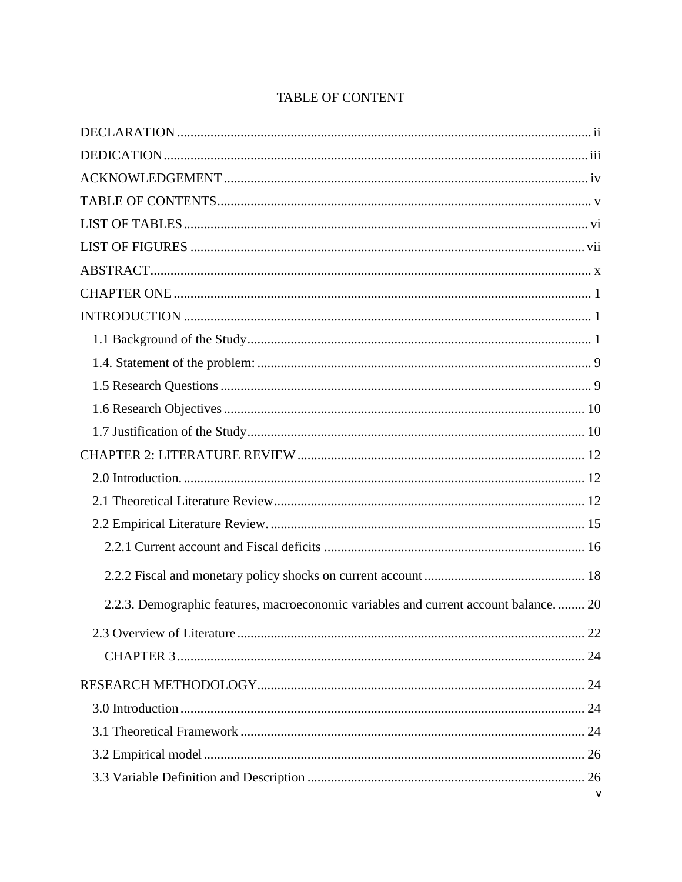<span id="page-4-0"></span>

| 2.2.3. Demographic features, macroeconomic variables and current account balance.  20 |
|---------------------------------------------------------------------------------------|
|                                                                                       |
|                                                                                       |
|                                                                                       |
|                                                                                       |
|                                                                                       |
|                                                                                       |
| $\mathsf{v}$                                                                          |

# TABLE OF CONTENT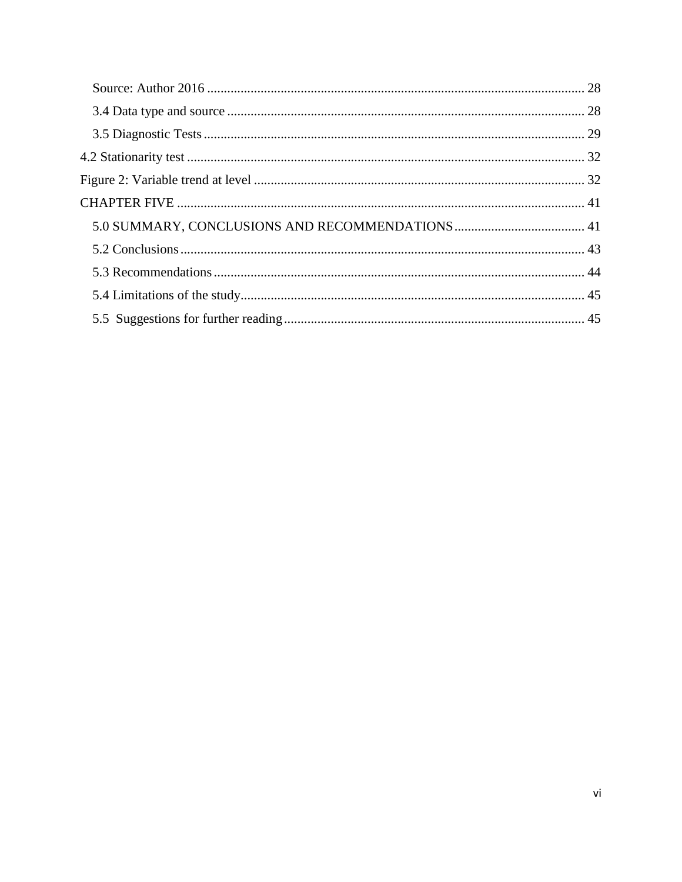<span id="page-5-0"></span>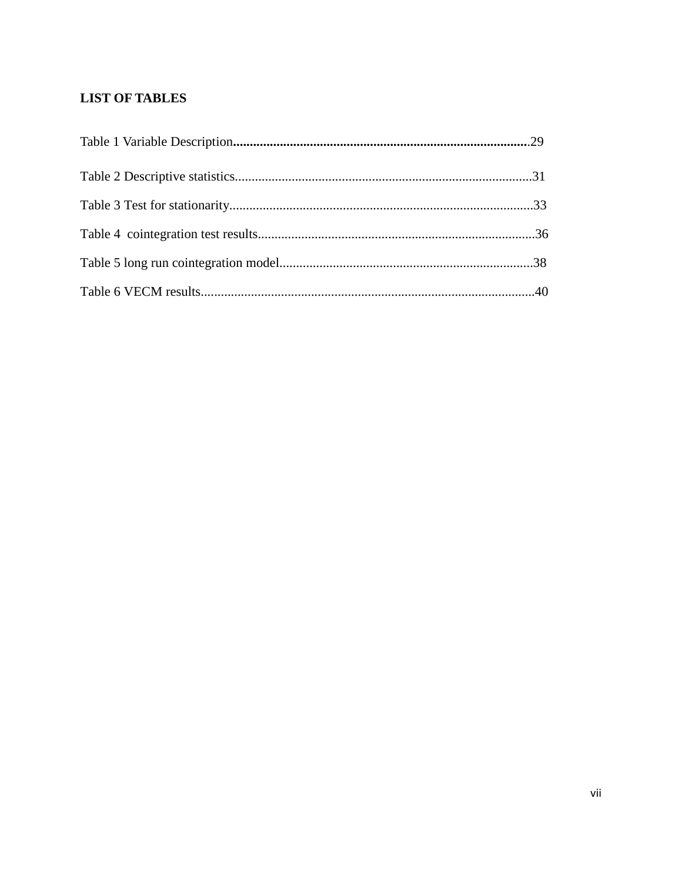# **LIST OF TABLES**

<span id="page-6-0"></span>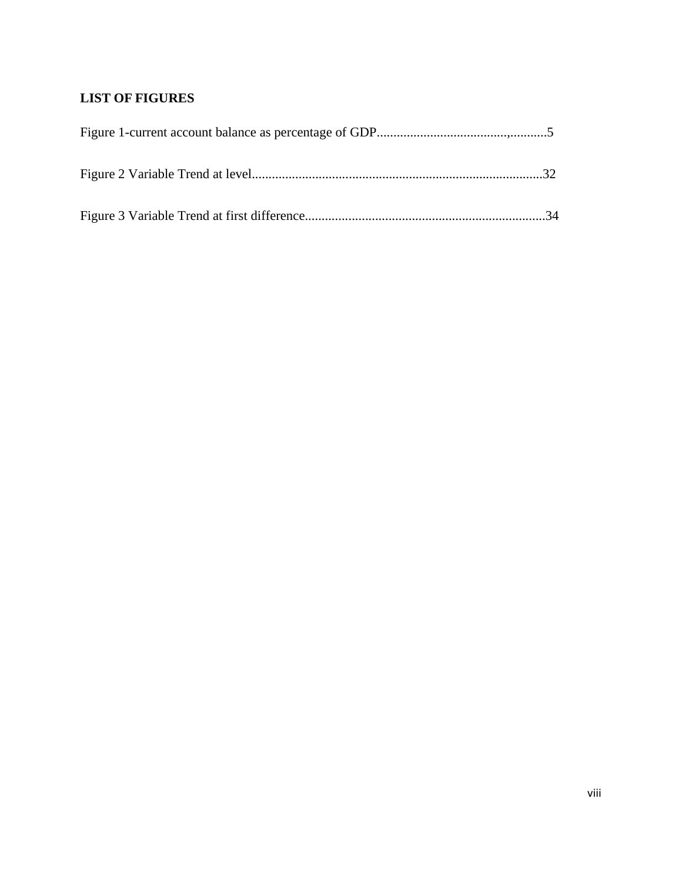# **LIST OF FIGURES**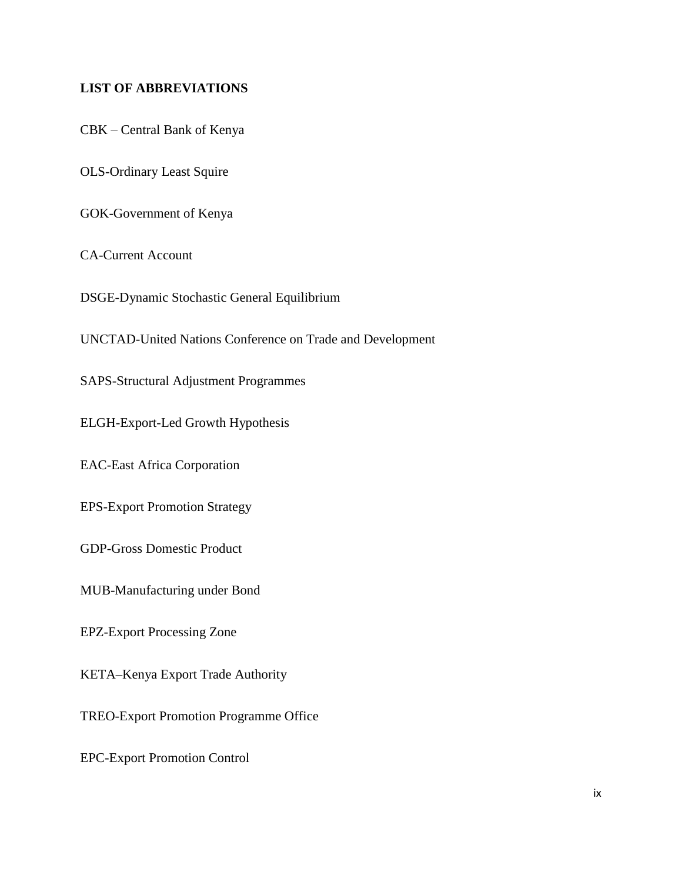## **LIST OF ABBREVIATIONS**

CBK – Central Bank of Kenya

OLS-Ordinary Least Squire

GOK-Government of Kenya

CA-Current Account

DSGE-Dynamic Stochastic General Equilibrium

UNCTAD-United Nations Conference on Trade and Development

SAPS-Structural Adjustment Programmes

ELGH-Export-Led Growth Hypothesis

EAC-East Africa Corporation

EPS-Export Promotion Strategy

GDP-Gross Domestic Product

MUB-Manufacturing under Bond

EPZ-Export Processing Zone

KETA–Kenya Export Trade Authority

TREO-Export Promotion Programme Office

EPC-Export Promotion Control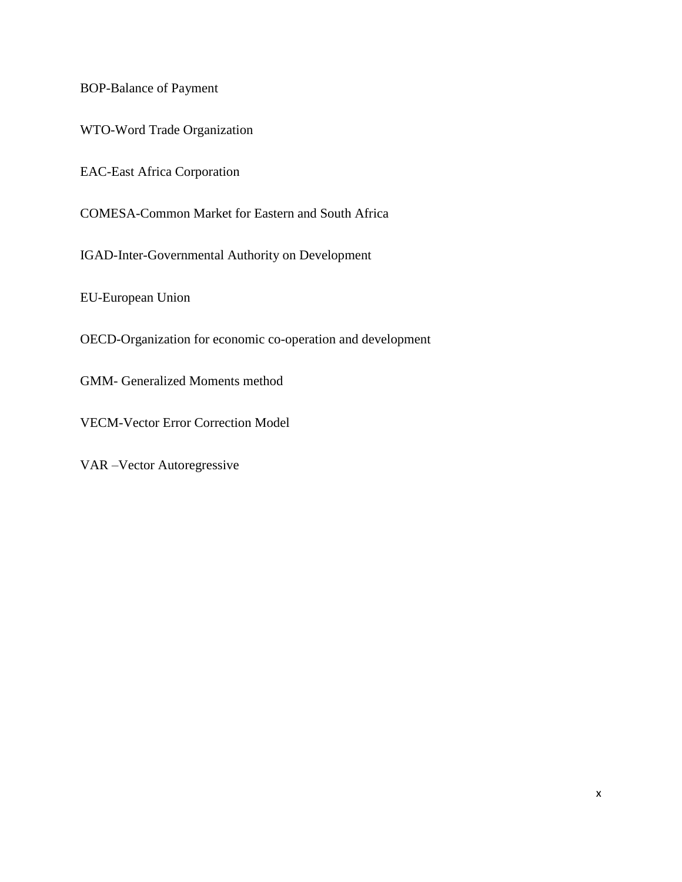BOP-Balance of Payment

WTO-Word Trade Organization

EAC-East Africa Corporation

COMESA-Common Market for Eastern and South Africa

IGAD-Inter-Governmental Authority on Development

EU-European Union

OECD-Organization for economic co-operation and development

GMM- Generalized Moments method

VECM-Vector Error Correction Model

<span id="page-9-0"></span>VAR –Vector Autoregressive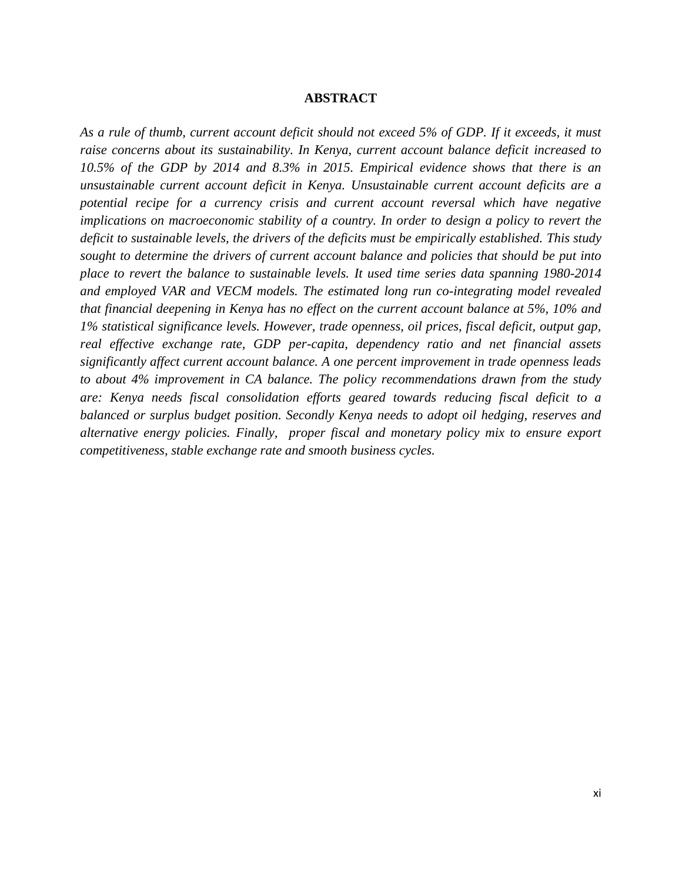#### **ABSTRACT**

*As a rule of thumb, current account deficit should not exceed 5% of GDP. If it exceeds, it must raise concerns about its sustainability. In Kenya, current account balance deficit increased to 10.5% of the GDP by 2014 and 8.3% in 2015. Empirical evidence shows that there is an unsustainable current account deficit in Kenya. Unsustainable current account deficits are a potential recipe for a currency crisis and current account reversal which have negative implications on macroeconomic stability of a country. In order to design a policy to revert the deficit to sustainable levels, the drivers of the deficits must be empirically established. This study sought to determine the drivers of current account balance and policies that should be put into place to revert the balance to sustainable levels. It used time series data spanning 1980-2014 and employed VAR and VECM models. The estimated long run co-integrating model revealed that financial deepening in Kenya has no effect on the current account balance at 5%, 10% and 1% statistical significance levels. However, trade openness, oil prices, fiscal deficit, output gap, real effective exchange rate, GDP per-capita, dependency ratio and net financial assets significantly affect current account balance. A one percent improvement in trade openness leads to about 4% improvement in CA balance. The policy recommendations drawn from the study are: Kenya needs fiscal consolidation efforts geared towards reducing fiscal deficit to a balanced or surplus budget position. Secondly Kenya needs to adopt oil hedging, reserves and alternative energy policies. Finally, proper fiscal and monetary policy mix to ensure export competitiveness, stable exchange rate and smooth business cycles.*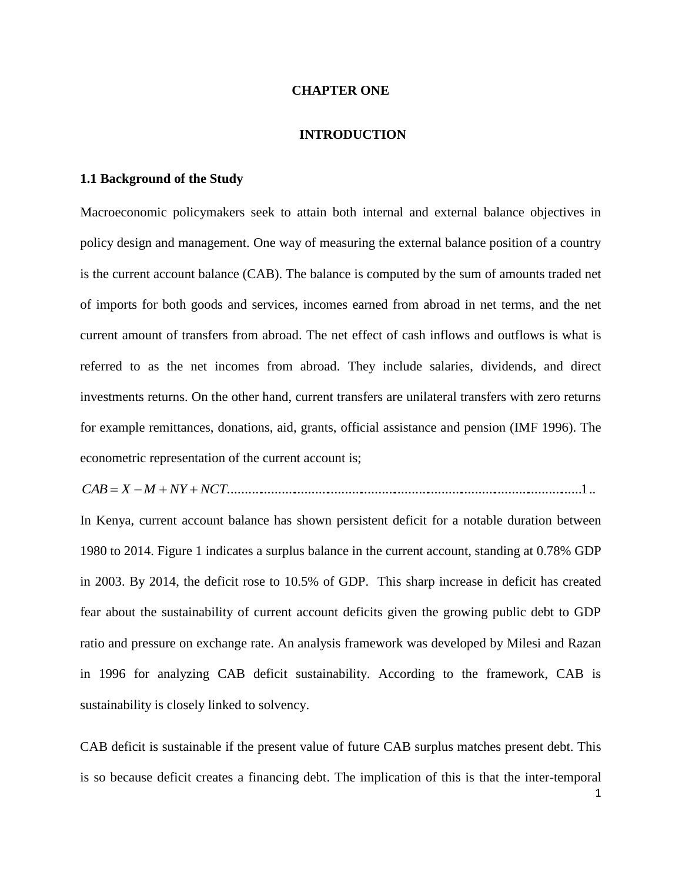#### **CHAPTER ONE**

#### **INTRODUCTION**

#### <span id="page-11-2"></span><span id="page-11-1"></span><span id="page-11-0"></span>**1.1 Background of the Study**

Macroeconomic policymakers seek to attain both internal and external balance objectives in policy design and management. One way of measuring the external balance position of a country is the current account balance (CAB). The balance is computed by the sum of amounts traded net of imports for both goods and services, incomes earned from abroad in net terms, and the net current amount of transfers from abroad. The net effect of cash inflows and outflows is what is referred to as the net incomes from abroad. They include salaries, dividends, and direct investments returns. On the other hand, current transfers are unilateral transfers with zero returns for example remittances, donations, aid, grants, official assistance and pension (IMF 1996). The econometric representation of the current account is;

*CAB X M NY NCT*..........................................................................................................1..

In Kenya, current account balance has shown persistent deficit for a notable duration between 1980 to 2014. Figure 1 indicates a surplus balance in the current account, standing at 0.78% GDP in 2003. By 2014, the deficit rose to 10.5% of GDP. This sharp increase in deficit has created fear about the sustainability of current account deficits given the growing public debt to GDP ratio and pressure on exchange rate. An analysis framework was developed by Milesi and Razan in 1996 for analyzing CAB deficit sustainability. According to the framework, CAB is sustainability is closely linked to solvency.

CAB deficit is sustainable if the present value of future CAB surplus matches present debt. This is so because deficit creates a financing debt. The implication of this is that the inter-temporal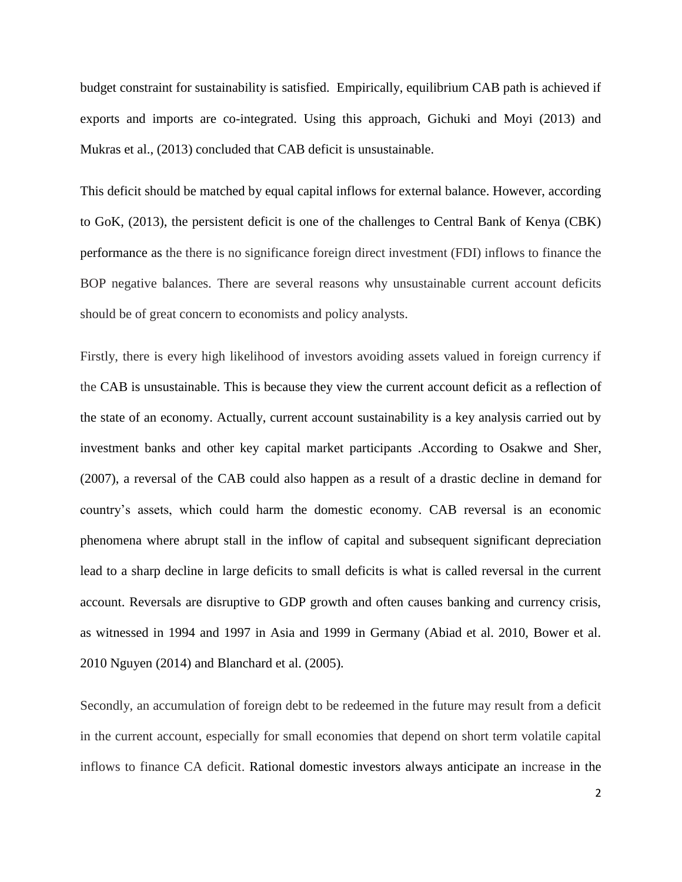budget constraint for sustainability is satisfied. Empirically, equilibrium CAB path is achieved if exports and imports are co-integrated. Using this approach, Gichuki and Moyi (2013) and Mukras et al., (2013) concluded that CAB deficit is unsustainable.

This deficit should be matched by equal capital inflows for external balance. However, according to GoK, (2013), the persistent deficit is one of the challenges to Central Bank of Kenya (CBK) performance as the there is no significance foreign direct investment (FDI) inflows to finance the BOP negative balances. There are several reasons why unsustainable current account deficits should be of great concern to economists and policy analysts.

Firstly, there is every high likelihood of investors avoiding assets valued in foreign currency if the CAB is unsustainable. This is because they view the current account deficit as a reflection of the state of an economy. Actually, current account sustainability is a key analysis carried out by investment banks and other key capital market participants .According to Osakwe and Sher, (2007), a reversal of the CAB could also happen as a result of a drastic decline in demand for country's assets, which could harm the domestic economy. CAB reversal is an economic phenomena where abrupt stall in the inflow of capital and subsequent significant depreciation lead to a sharp decline in large deficits to small deficits is what is called reversal in the current account. Reversals are disruptive to GDP growth and often causes banking and currency crisis, as witnessed in 1994 and 1997 in Asia and 1999 in Germany (Abiad et al. 2010, Bower et al. 2010 Nguyen (2014) and Blanchard et al. (2005).

Secondly, an accumulation of foreign debt to be redeemed in the future may result from a deficit in the current account, especially for small economies that depend on short term volatile capital inflows to finance CA deficit. Rational domestic investors always anticipate an increase in the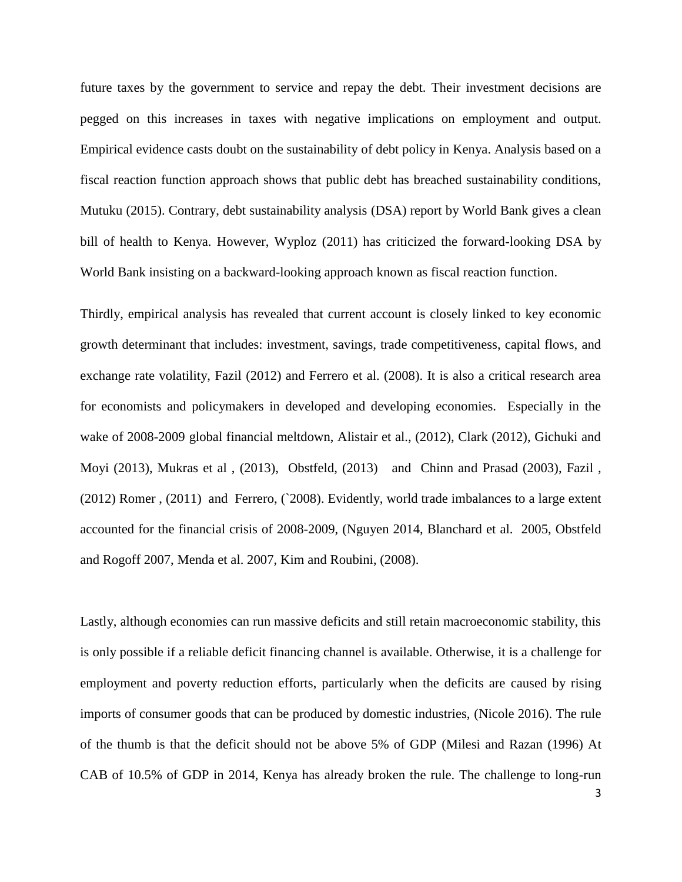future taxes by the government to service and repay the debt. Their investment decisions are pegged on this increases in taxes with negative implications on employment and output. Empirical evidence casts doubt on the sustainability of debt policy in Kenya. Analysis based on a fiscal reaction function approach shows that public debt has breached sustainability conditions, Mutuku (2015). Contrary, debt sustainability analysis (DSA) report by World Bank gives a clean bill of health to Kenya. However, Wyploz (2011) has criticized the forward-looking DSA by World Bank insisting on a backward-looking approach known as fiscal reaction function.

Thirdly, empirical analysis has revealed that current account is closely linked to key economic growth determinant that includes: investment, savings, trade competitiveness, capital flows, and exchange rate volatility, Fazil (2012) and Ferrero et al. (2008). It is also a critical research area for economists and policymakers in developed and developing economies. Especially in the wake of 2008-2009 global financial meltdown, Alistair et al., (2012), Clark (2012), Gichuki and Moyi (2013), Mukras et al , (2013), Obstfeld, (2013) and Chinn and Prasad (2003), Fazil , (2012) Romer , (2011) and Ferrero, (`2008). Evidently, world trade imbalances to a large extent accounted for the financial crisis of 2008-2009, (Nguyen 2014, Blanchard et al. 2005, Obstfeld and Rogoff 2007, Menda et al. 2007, Kim and Roubini, (2008).

Lastly, although economies can run massive deficits and still retain macroeconomic stability, this is only possible if a reliable deficit financing channel is available. Otherwise, it is a challenge for employment and poverty reduction efforts, particularly when the deficits are caused by rising imports of consumer goods that can be produced by domestic industries, (Nicole 2016). The rule of the thumb is that the deficit should not be above 5% of GDP (Milesi and Razan (1996) At CAB of 10.5% of GDP in 2014, Kenya has already broken the rule. The challenge to long-run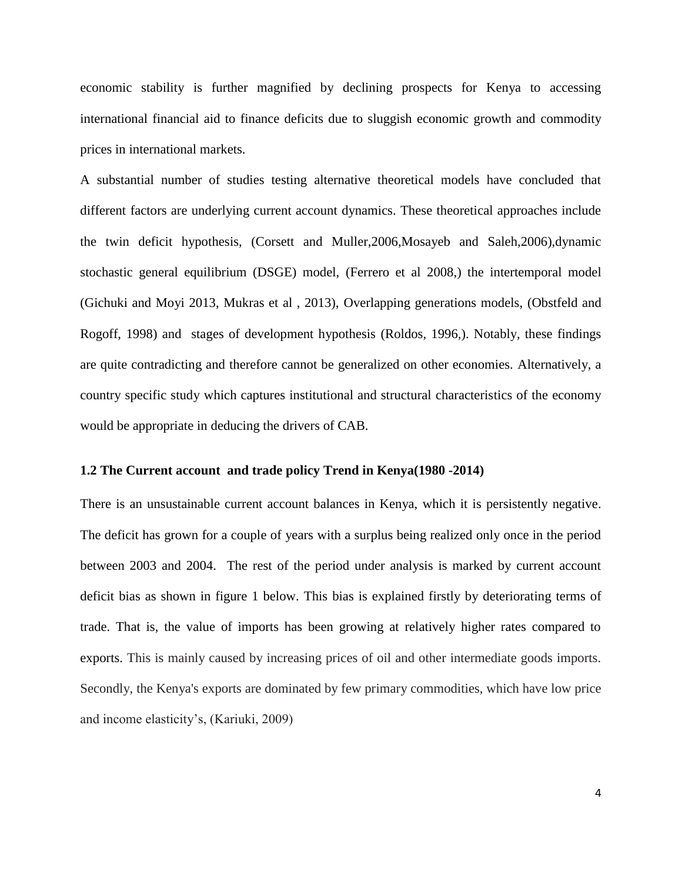economic stability is further magnified by declining prospects for Kenya to accessing international financial aid to finance deficits due to sluggish economic growth and commodity prices in international markets.

A substantial number of studies testing alternative theoretical models have concluded that different factors are underlying current account dynamics. These theoretical approaches include the twin deficit hypothesis, (Corsett and Muller,2006,Mosayeb and Saleh,2006),dynamic stochastic general equilibrium (DSGE) model, (Ferrero et al 2008,) the intertemporal model (Gichuki and Moyi 2013, Mukras et al , 2013), Overlapping generations models, (Obstfeld and Rogoff, 1998) and stages of development hypothesis (Roldos, 1996,). Notably, these findings are quite contradicting and therefore cannot be generalized on other economies. Alternatively, a country specific study which captures institutional and structural characteristics of the economy would be appropriate in deducing the drivers of CAB.

#### **1.2 The Current account and trade policy Trend in Kenya(1980 -2014)**

There is an unsustainable current account balances in Kenya, which it is persistently negative. The deficit has grown for a couple of years with a surplus being realized only once in the period between 2003 and 2004. The rest of the period under analysis is marked by current account deficit bias as shown in figure 1 below. This bias is explained firstly by deteriorating terms of trade. That is, the value of imports has been growing at relatively higher rates compared to exports. This is mainly caused by increasing prices of oil and other intermediate goods imports. Secondly, the Kenya's exports are dominated by few primary commodities, which have low price and income elasticity's, (Kariuki, 2009)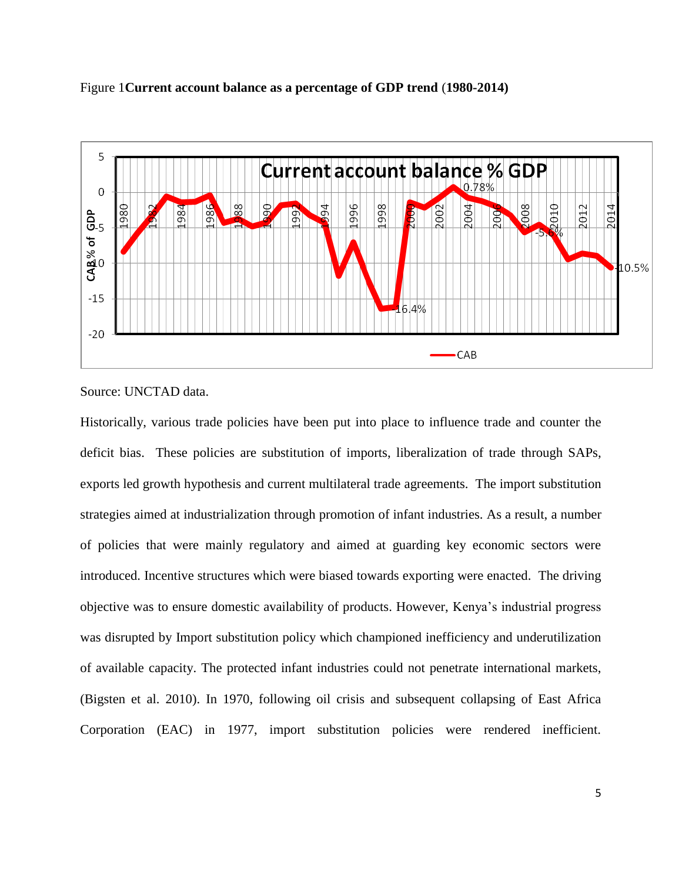



Source: UNCTAD data.

Historically, various trade policies have been put into place to influence trade and counter the deficit bias. These policies are substitution of imports, liberalization of trade through SAPs, exports led growth hypothesis and current multilateral trade agreements. The import substitution strategies aimed at industrialization through promotion of infant industries. As a result, a number of policies that were mainly regulatory and aimed at guarding key economic sectors were introduced. Incentive structures which were biased towards exporting were enacted. The driving objective was to ensure domestic availability of products. However, Kenya's industrial progress was disrupted by Import substitution policy which championed inefficiency and underutilization of available capacity. The protected infant industries could not penetrate international markets, (Bigsten et al. 2010). In 1970, following oil crisis and subsequent collapsing of East Africa Corporation (EAC) in 1977, import substitution policies were rendered inefficient.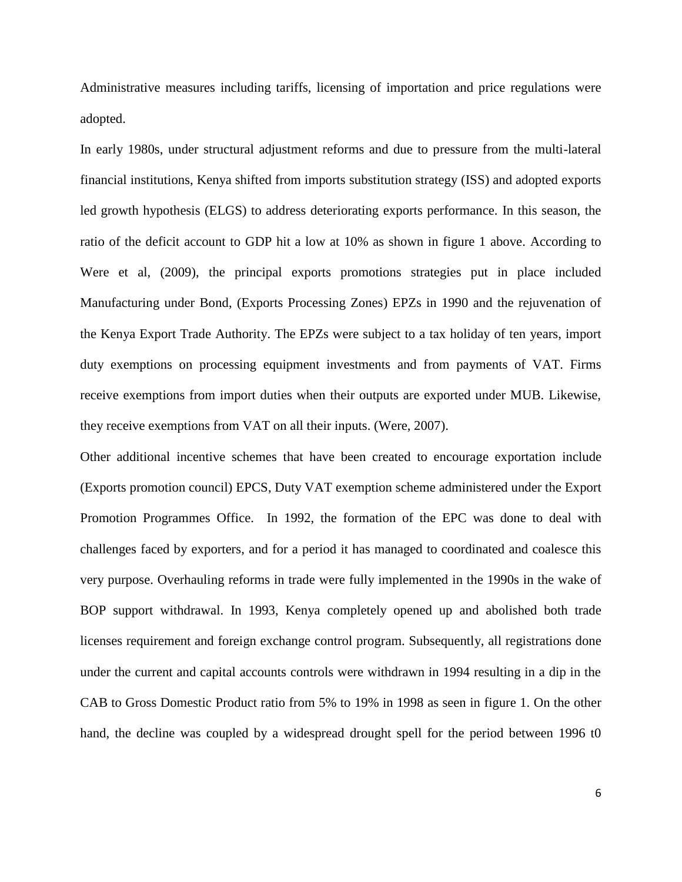Administrative measures including tariffs, licensing of importation and price regulations were adopted.

In early 1980s, under structural adjustment reforms and due to pressure from the multi-lateral financial institutions, Kenya shifted from imports substitution strategy (ISS) and adopted exports led growth hypothesis (ELGS) to address deteriorating exports performance. In this season, the ratio of the deficit account to GDP hit a low at 10% as shown in figure 1 above. According to Were et al, (2009), the principal exports promotions strategies put in place included Manufacturing under Bond, (Exports Processing Zones) EPZs in 1990 and the rejuvenation of the Kenya Export Trade Authority. The EPZs were subject to a tax holiday of ten years, import duty exemptions on processing equipment investments and from payments of VAT. Firms receive exemptions from import duties when their outputs are exported under MUB. Likewise, they receive exemptions from VAT on all their inputs. (Were, 2007).

Other additional incentive schemes that have been created to encourage exportation include (Exports promotion council) EPCS, Duty VAT exemption scheme administered under the Export Promotion Programmes Office. In 1992, the formation of the EPC was done to deal with challenges faced by exporters, and for a period it has managed to coordinated and coalesce this very purpose. Overhauling reforms in trade were fully implemented in the 1990s in the wake of BOP support withdrawal. In 1993, Kenya completely opened up and abolished both trade licenses requirement and foreign exchange control program. Subsequently, all registrations done under the current and capital accounts controls were withdrawn in 1994 resulting in a dip in the CAB to Gross Domestic Product ratio from 5% to 19% in 1998 as seen in figure 1. On the other hand, the decline was coupled by a widespread drought spell for the period between 1996 t0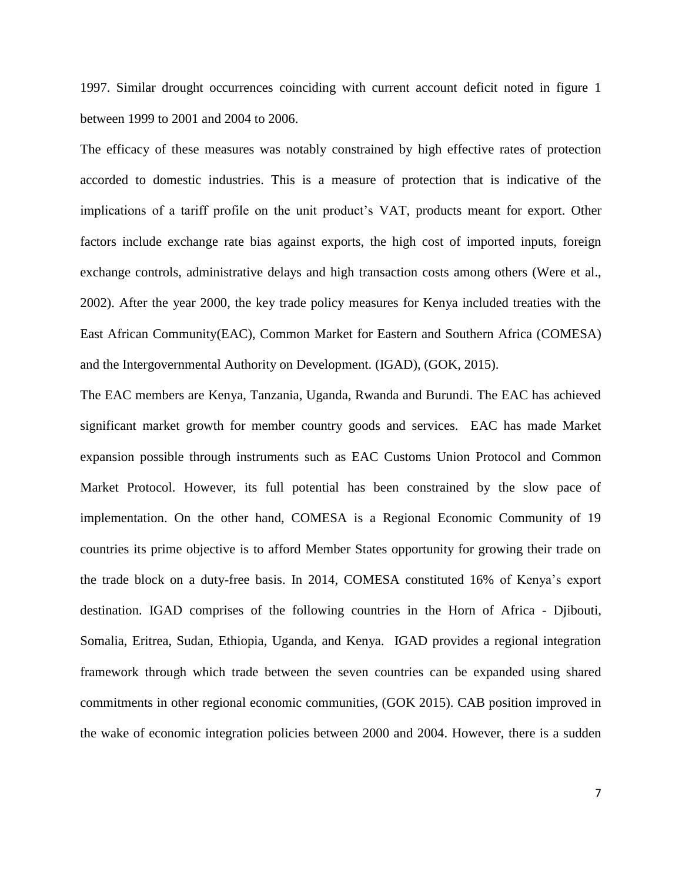1997. Similar drought occurrences coinciding with current account deficit noted in figure 1 between 1999 to 2001 and 2004 to 2006.

The efficacy of these measures was notably constrained by high effective rates of protection accorded to domestic industries. This is a measure of protection that is indicative of the implications of a tariff profile on the unit product's VAT, products meant for export. Other factors include exchange rate bias against exports, the high cost of imported inputs, foreign exchange controls, administrative delays and high transaction costs among others (Were et al., 2002). After the year 2000, the key trade policy measures for Kenya included treaties with the East African Community(EAC), Common Market for Eastern and Southern Africa (COMESA) and the Intergovernmental Authority on Development. (IGAD), (GOK, 2015).

The EAC members are Kenya, Tanzania, Uganda, Rwanda and Burundi. The EAC has achieved significant market growth for member country goods and services. EAC has made Market expansion possible through instruments such as EAC Customs Union Protocol and Common Market Protocol. However, its full potential has been constrained by the slow pace of implementation. On the other hand, COMESA is a Regional Economic Community of 19 countries its prime objective is to afford Member States opportunity for growing their trade on the trade block on a duty-free basis. In 2014, COMESA constituted 16% of Kenya's export destination. IGAD comprises of the following countries in the Horn of Africa - Djibouti, Somalia, Eritrea, Sudan, Ethiopia, Uganda, and Kenya. IGAD provides a regional integration framework through which trade between the seven countries can be expanded using shared commitments in other regional economic communities, (GOK 2015). CAB position improved in the wake of economic integration policies between 2000 and 2004. However, there is a sudden

7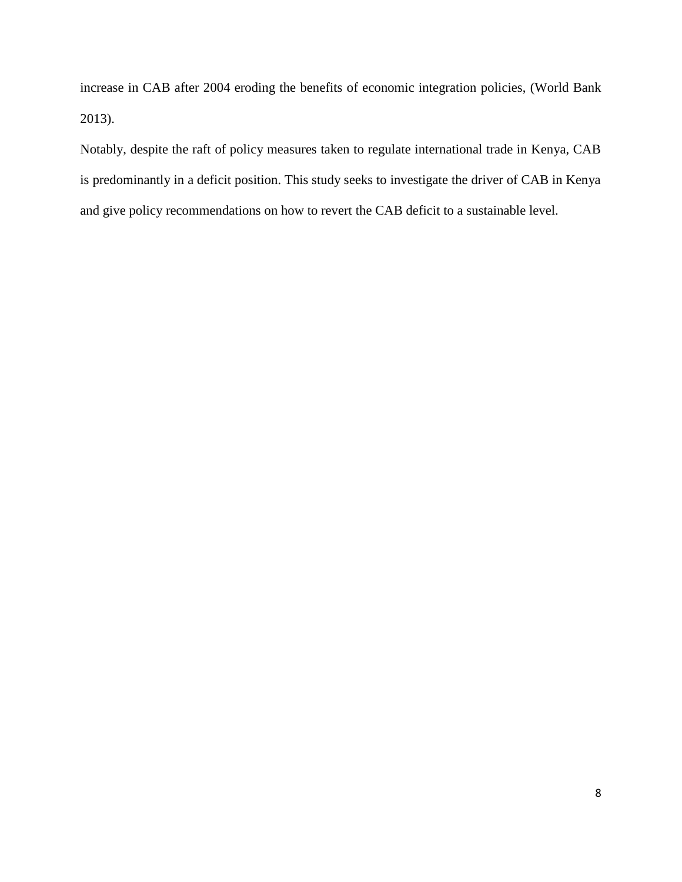increase in CAB after 2004 eroding the benefits of economic integration policies, (World Bank 2013).

Notably, despite the raft of policy measures taken to regulate international trade in Kenya, CAB is predominantly in a deficit position. This study seeks to investigate the driver of CAB in Kenya and give policy recommendations on how to revert the CAB deficit to a sustainable level.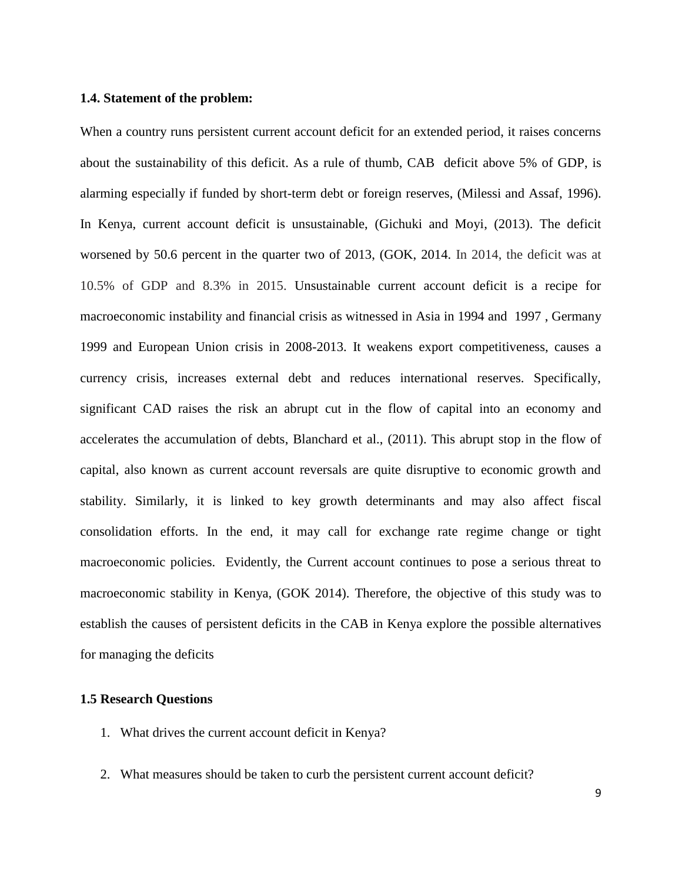#### <span id="page-19-0"></span>**1.4. Statement of the problem:**

When a country runs persistent current account deficit for an extended period, it raises concerns about the sustainability of this deficit. As a rule of thumb, CAB deficit above 5% of GDP, is alarming especially if funded by short-term debt or foreign reserves, (Milessi and Assaf, 1996). In Kenya, current account deficit is unsustainable, (Gichuki and Moyi, (2013). The deficit worsened by 50.6 percent in the quarter two of 2013, (GOK, 2014. In 2014, the deficit was at 10.5% of GDP and 8.3% in 2015. Unsustainable current account deficit is a recipe for macroeconomic instability and financial crisis as witnessed in Asia in 1994 and 1997 , Germany 1999 and European Union crisis in 2008-2013. It weakens export competitiveness, causes a currency crisis, increases external debt and reduces international reserves. Specifically, significant CAD raises the risk an abrupt cut in the flow of capital into an economy and accelerates the accumulation of debts, Blanchard et al., (2011). This abrupt stop in the flow of capital, also known as current account reversals are quite disruptive to economic growth and stability. Similarly, it is linked to key growth determinants and may also affect fiscal consolidation efforts. In the end, it may call for exchange rate regime change or tight macroeconomic policies. Evidently, the Current account continues to pose a serious threat to macroeconomic stability in Kenya, (GOK 2014). Therefore, the objective of this study was to establish the causes of persistent deficits in the CAB in Kenya explore the possible alternatives for managing the deficits

#### <span id="page-19-1"></span>**1.5 Research Questions**

- 1. What drives the current account deficit in Kenya?
- 2. What measures should be taken to curb the persistent current account deficit?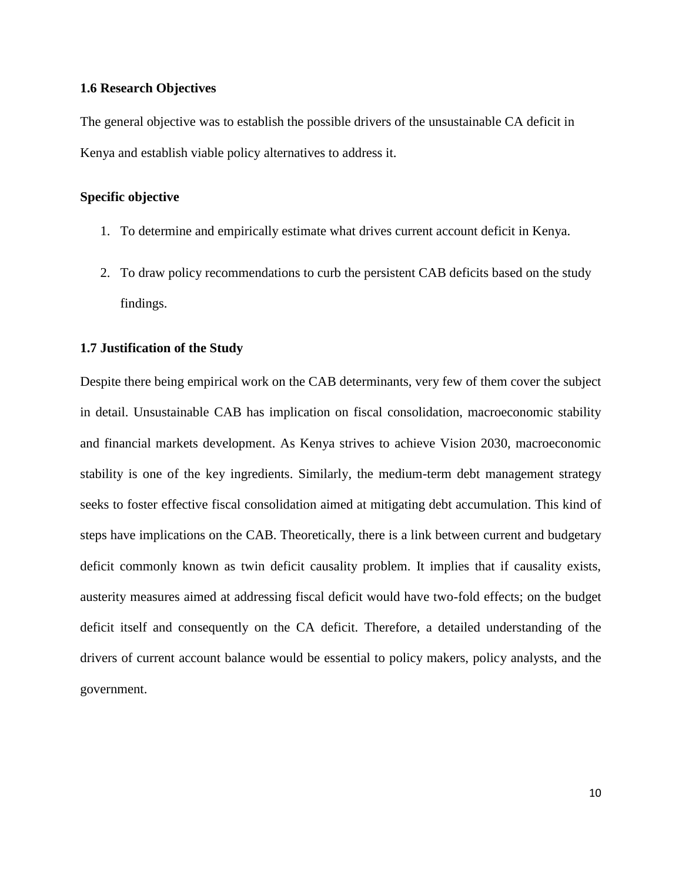#### <span id="page-20-0"></span>**1.6 Research Objectives**

The general objective was to establish the possible drivers of the unsustainable CA deficit in Kenya and establish viable policy alternatives to address it.

#### **Specific objective**

- 1. To determine and empirically estimate what drives current account deficit in Kenya.
- 2. To draw policy recommendations to curb the persistent CAB deficits based on the study findings.

#### <span id="page-20-1"></span>**1.7 Justification of the Study**

Despite there being empirical work on the CAB determinants, very few of them cover the subject in detail. Unsustainable CAB has implication on fiscal consolidation, macroeconomic stability and financial markets development. As Kenya strives to achieve Vision 2030, macroeconomic stability is one of the key ingredients. Similarly, the medium-term debt management strategy seeks to foster effective fiscal consolidation aimed at mitigating debt accumulation. This kind of steps have implications on the CAB. Theoretically, there is a link between current and budgetary deficit commonly known as twin deficit causality problem. It implies that if causality exists, austerity measures aimed at addressing fiscal deficit would have two-fold effects; on the budget deficit itself and consequently on the CA deficit. Therefore, a detailed understanding of the drivers of current account balance would be essential to policy makers, policy analysts, and the government.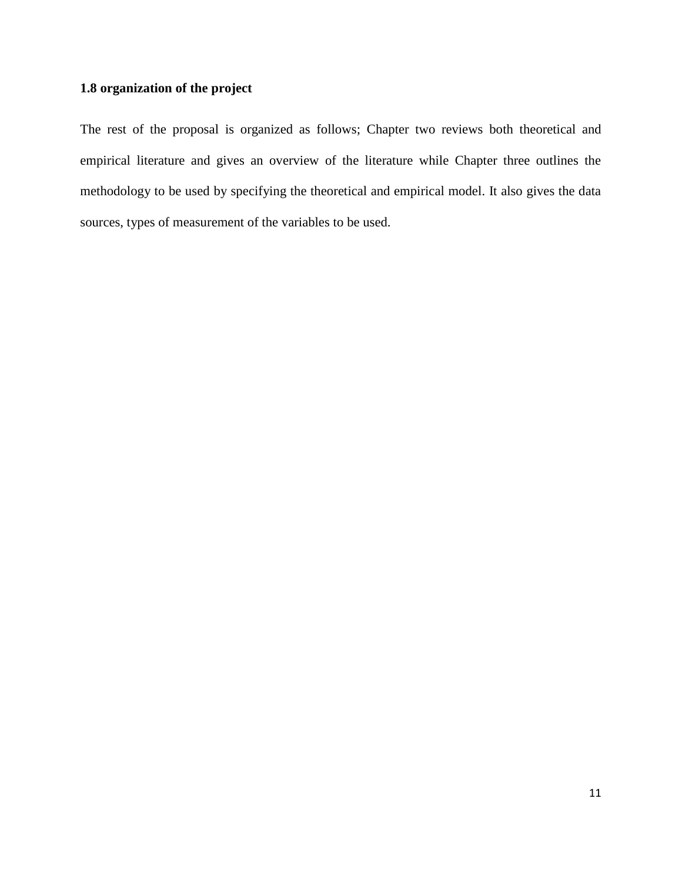# **1.8 organization of the project**

The rest of the proposal is organized as follows; Chapter two reviews both theoretical and empirical literature and gives an overview of the literature while Chapter three outlines the methodology to be used by specifying the theoretical and empirical model. It also gives the data sources, types of measurement of the variables to be used.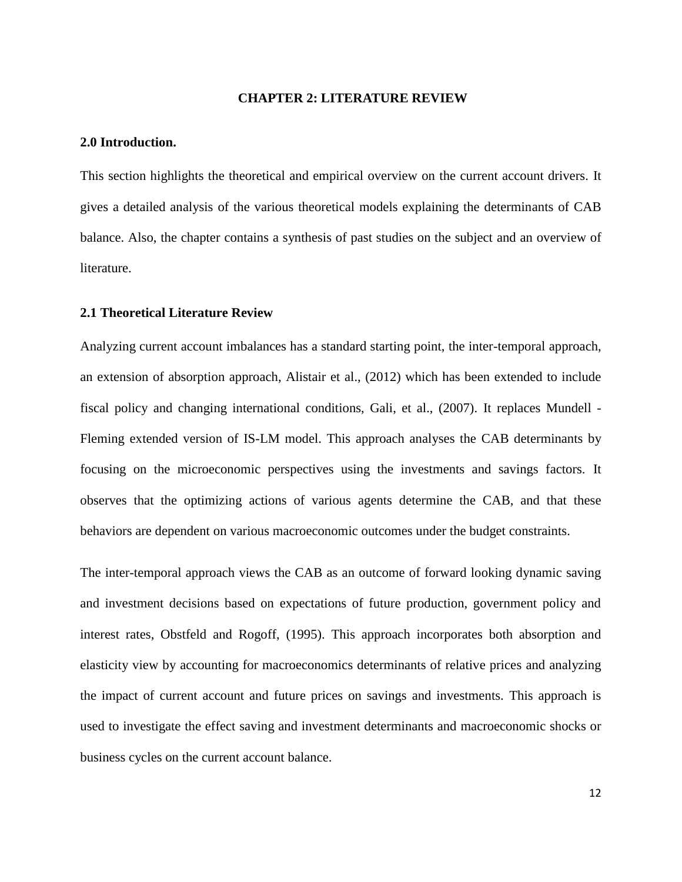### **CHAPTER 2: LITERATURE REVIEW**

#### <span id="page-22-1"></span><span id="page-22-0"></span>**2.0 Introduction.**

This section highlights the theoretical and empirical overview on the current account drivers. It gives a detailed analysis of the various theoretical models explaining the determinants of CAB balance. Also, the chapter contains a synthesis of past studies on the subject and an overview of literature.

### <span id="page-22-2"></span>**2.1 Theoretical Literature Review**

Analyzing current account imbalances has a standard starting point, the inter-temporal approach, an extension of absorption approach, Alistair et al., (2012) which has been extended to include fiscal policy and changing international conditions, Gali, et al., (2007). It replaces Mundell - Fleming extended version of IS-LM model. This approach analyses the CAB determinants by focusing on the microeconomic perspectives using the investments and savings factors. It observes that the optimizing actions of various agents determine the CAB, and that these behaviors are dependent on various macroeconomic outcomes under the budget constraints.

The inter-temporal approach views the CAB as an outcome of forward looking dynamic saving and investment decisions based on expectations of future production, government policy and interest rates, Obstfeld and Rogoff, (1995). This approach incorporates both absorption and elasticity view by accounting for macroeconomics determinants of relative prices and analyzing the impact of current account and future prices on savings and investments. This approach is used to investigate the effect saving and investment determinants and macroeconomic shocks or business cycles on the current account balance.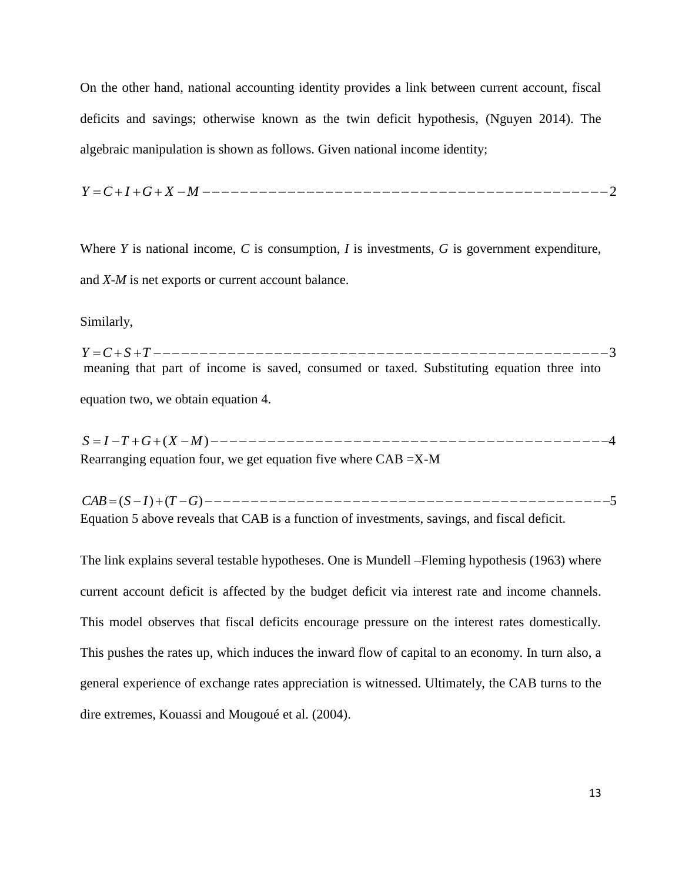On the other hand, national accounting identity provides a link between current account, fiscal deficits and savings; otherwise known as the twin deficit hypothesis, (Nguyen 2014). The algebraic manipulation is shown as follows. Given national income identity;

*Y C I G X M* 2

Where *Y* is national income, *C* is consumption, *I* is investments, *G* is government expenditure, and *X-M* is net exports or current account balance.

Similarly,

*Y C S T* 3 meaning that part of income is saved, consumed or taxed. Substituting equation three into equation two, we obtain equation 4.

*S I T G* (*X M*) 4 Rearranging equation four, we get equation five where CAB =X-M

*CAB* (*S I*) (*T G*) 5 Equation 5 above reveals that CAB is a function of investments, savings, and fiscal deficit.

The link explains several testable hypotheses. One is Mundell –Fleming hypothesis (1963) where current account deficit is affected by the budget deficit via interest rate and income channels. This model observes that fiscal deficits encourage pressure on the interest rates domestically. This pushes the rates up, which induces the inward flow of capital to an economy. In turn also, a general experience of exchange rates appreciation is witnessed. Ultimately, the CAB turns to the dire extremes, Kouassi and Mougoué et al. (2004).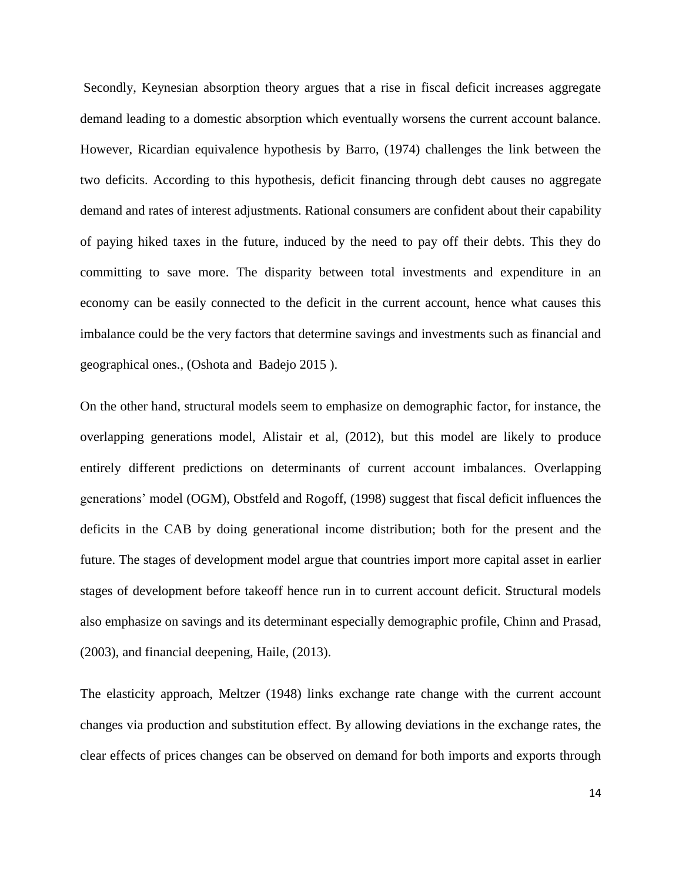Secondly, Keynesian absorption theory argues that a rise in fiscal deficit increases aggregate demand leading to a domestic absorption which eventually worsens the current account balance. However, Ricardian equivalence hypothesis by Barro, (1974) challenges the link between the two deficits. According to this hypothesis, deficit financing through debt causes no aggregate demand and rates of interest adjustments. Rational consumers are confident about their capability of paying hiked taxes in the future, induced by the need to pay off their debts. This they do committing to save more. The disparity between total investments and expenditure in an economy can be easily connected to the deficit in the current account, hence what causes this imbalance could be the very factors that determine savings and investments such as financial and geographical ones., (Oshota and Badejo 2015 ).

On the other hand, structural models seem to emphasize on demographic factor, for instance, the overlapping generations model, Alistair et al, (2012), but this model are likely to produce entirely different predictions on determinants of current account imbalances. Overlapping generations' model (OGM), Obstfeld and Rogoff, (1998) suggest that fiscal deficit influences the deficits in the CAB by doing generational income distribution; both for the present and the future. The stages of development model argue that countries import more capital asset in earlier stages of development before takeoff hence run in to current account deficit. Structural models also emphasize on savings and its determinant especially demographic profile, Chinn and Prasad, (2003), and financial deepening, Haile, (2013).

The elasticity approach, Meltzer (1948) links exchange rate change with the current account changes via production and substitution effect. By allowing deviations in the exchange rates, the clear effects of prices changes can be observed on demand for both imports and exports through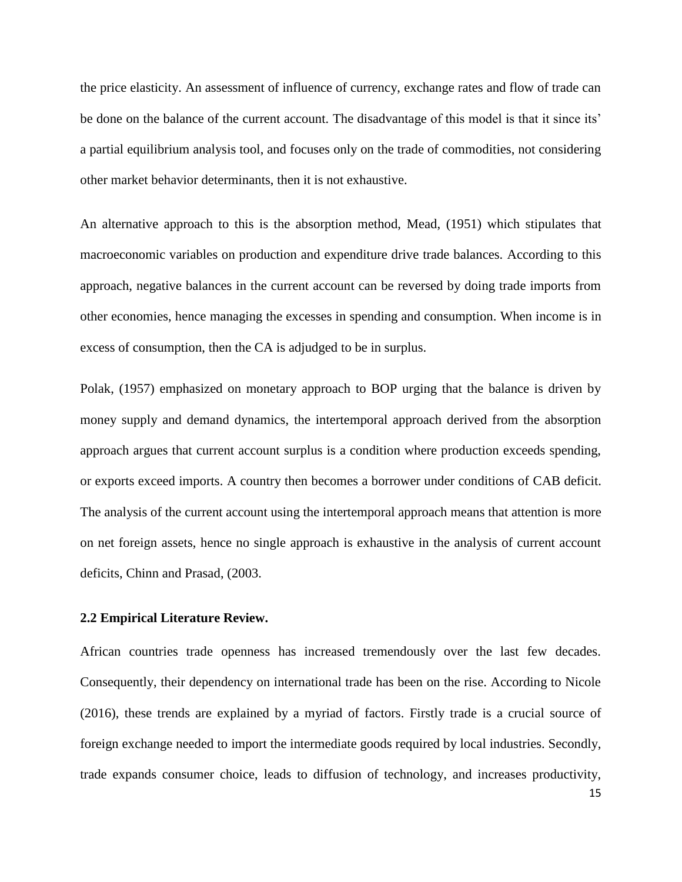the price elasticity. An assessment of influence of currency, exchange rates and flow of trade can be done on the balance of the current account. The disadvantage of this model is that it since its' a partial equilibrium analysis tool, and focuses only on the trade of commodities, not considering other market behavior determinants, then it is not exhaustive.

An alternative approach to this is the absorption method, Mead, (1951) which stipulates that macroeconomic variables on production and expenditure drive trade balances. According to this approach, negative balances in the current account can be reversed by doing trade imports from other economies, hence managing the excesses in spending and consumption. When income is in excess of consumption, then the CA is adjudged to be in surplus.

Polak, (1957) emphasized on monetary approach to BOP urging that the balance is driven by money supply and demand dynamics, the intertemporal approach derived from the absorption approach argues that current account surplus is a condition where production exceeds spending, or exports exceed imports. A country then becomes a borrower under conditions of CAB deficit. The analysis of the current account using the intertemporal approach means that attention is more on net foreign assets, hence no single approach is exhaustive in the analysis of current account deficits, Chinn and Prasad, (2003.

#### <span id="page-25-0"></span>**2.2 Empirical Literature Review.**

African countries trade openness has increased tremendously over the last few decades. Consequently, their dependency on international trade has been on the rise. According to Nicole (2016), these trends are explained by a myriad of factors. Firstly trade is a crucial source of foreign exchange needed to import the intermediate goods required by local industries. Secondly, trade expands consumer choice, leads to diffusion of technology, and increases productivity,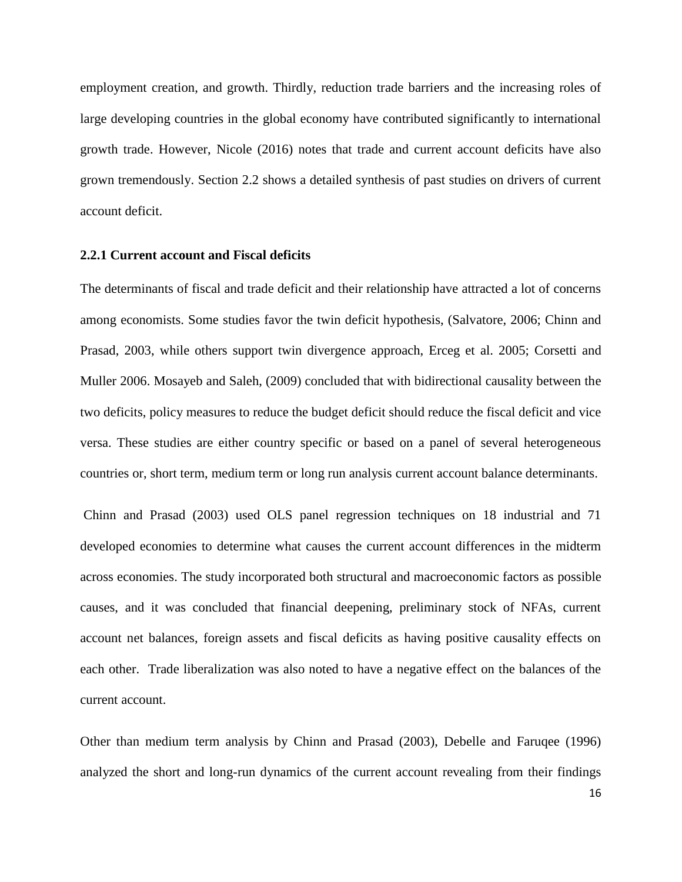employment creation, and growth. Thirdly, reduction trade barriers and the increasing roles of large developing countries in the global economy have contributed significantly to international growth trade. However, Nicole (2016) notes that trade and current account deficits have also grown tremendously. Section 2.2 shows a detailed synthesis of past studies on drivers of current account deficit.

#### <span id="page-26-0"></span>**2.2.1 Current account and Fiscal deficits**

The determinants of fiscal and trade deficit and their relationship have attracted a lot of concerns among economists. Some studies favor the twin deficit hypothesis, (Salvatore, 2006; Chinn and Prasad, 2003, while others support twin divergence approach, Erceg et al. 2005; Corsetti and Muller 2006. Mosayeb and Saleh, (2009) concluded that with bidirectional causality between the two deficits, policy measures to reduce the budget deficit should reduce the fiscal deficit and vice versa. These studies are either country specific or based on a panel of several heterogeneous countries or, short term, medium term or long run analysis current account balance determinants.

Chinn and Prasad (2003) used OLS panel regression techniques on 18 industrial and 71 developed economies to determine what causes the current account differences in the midterm across economies. The study incorporated both structural and macroeconomic factors as possible causes, and it was concluded that financial deepening, preliminary stock of NFAs, current account net balances, foreign assets and fiscal deficits as having positive causality effects on each other. Trade liberalization was also noted to have a negative effect on the balances of the current account.

Other than medium term analysis by Chinn and Prasad (2003), Debelle and Faruqee (1996) analyzed the short and long-run dynamics of the current account revealing from their findings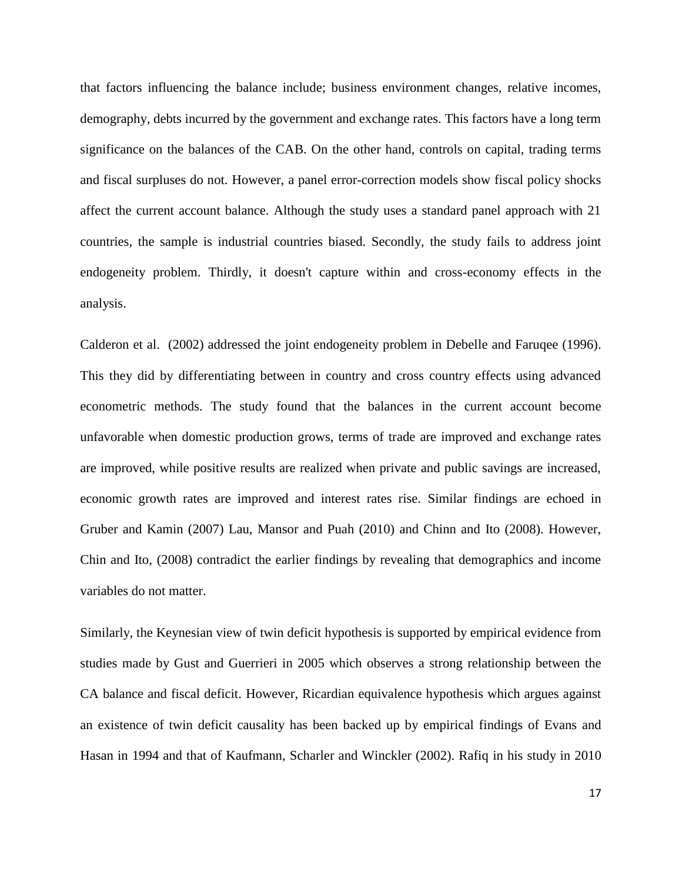that factors influencing the balance include; business environment changes, relative incomes, demography, debts incurred by the government and exchange rates. This factors have a long term significance on the balances of the CAB. On the other hand, controls on capital, trading terms and fiscal surpluses do not. However, a panel error-correction models show fiscal policy shocks affect the current account balance. Although the study uses a standard panel approach with 21 countries, the sample is industrial countries biased. Secondly, the study fails to address joint endogeneity problem. Thirdly, it doesn't capture within and cross-economy effects in the analysis.

Calderon et al. (2002) addressed the joint endogeneity problem in Debelle and Faruqee (1996). This they did by differentiating between in country and cross country effects using advanced econometric methods. The study found that the balances in the current account become unfavorable when domestic production grows, terms of trade are improved and exchange rates are improved, while positive results are realized when private and public savings are increased, economic growth rates are improved and interest rates rise. Similar findings are echoed in Gruber and Kamin (2007) Lau, Mansor and Puah (2010) and Chinn and Ito (2008). However, Chin and Ito, (2008) contradict the earlier findings by revealing that demographics and income variables do not matter.

Similarly, the Keynesian view of twin deficit hypothesis is supported by empirical evidence from studies made by Gust and Guerrieri in 2005 which observes a strong relationship between the CA balance and fiscal deficit. However, Ricardian equivalence hypothesis which argues against an existence of twin deficit causality has been backed up by empirical findings of Evans and Hasan in 1994 and that of Kaufmann, Scharler and Winckler (2002). Rafiq in his study in 2010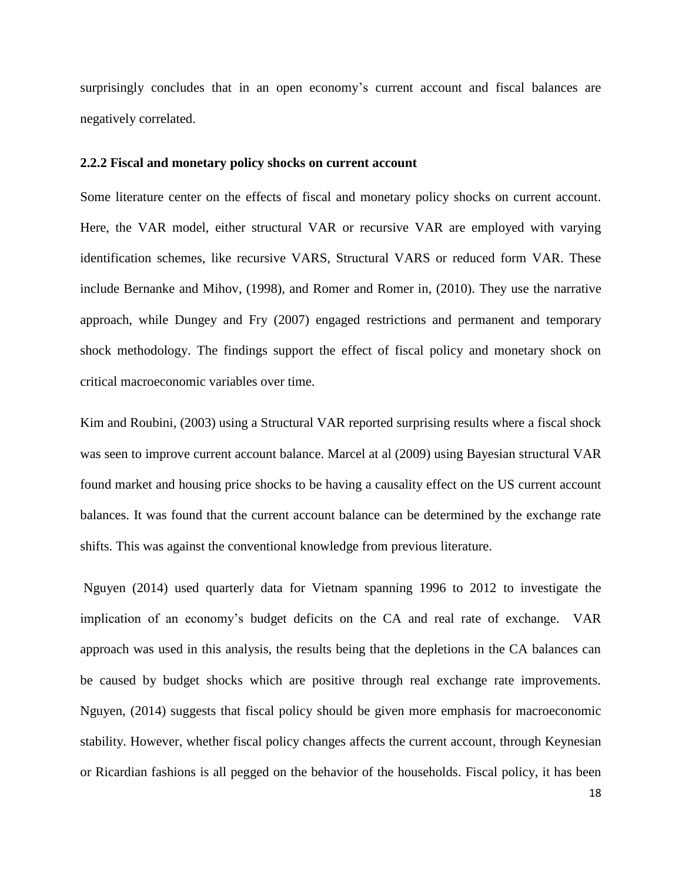surprisingly concludes that in an open economy's current account and fiscal balances are negatively correlated.

#### <span id="page-28-0"></span>**2.2.2 Fiscal and monetary policy shocks on current account**

Some literature center on the effects of fiscal and monetary policy shocks on current account. Here, the VAR model, either structural VAR or recursive VAR are employed with varying identification schemes, like recursive VARS, Structural VARS or reduced form VAR. These include Bernanke and Mihov, (1998), and Romer and Romer in, (2010). They use the narrative approach, while Dungey and Fry (2007) engaged restrictions and permanent and temporary shock methodology. The findings support the effect of fiscal policy and monetary shock on critical macroeconomic variables over time.

Kim and Roubini, (2003) using a Structural VAR reported surprising results where a fiscal shock was seen to improve current account balance. Marcel at al (2009) using Bayesian structural VAR found market and housing price shocks to be having a causality effect on the US current account balances. It was found that the current account balance can be determined by the exchange rate shifts. This was against the conventional knowledge from previous literature.

Nguyen (2014) used quarterly data for Vietnam spanning 1996 to 2012 to investigate the implication of an economy's budget deficits on the CA and real rate of exchange. VAR approach was used in this analysis, the results being that the depletions in the CA balances can be caused by budget shocks which are positive through real exchange rate improvements. Nguyen, (2014) suggests that fiscal policy should be given more emphasis for macroeconomic stability. However, whether fiscal policy changes affects the current account, through Keynesian or Ricardian fashions is all pegged on the behavior of the households. Fiscal policy, it has been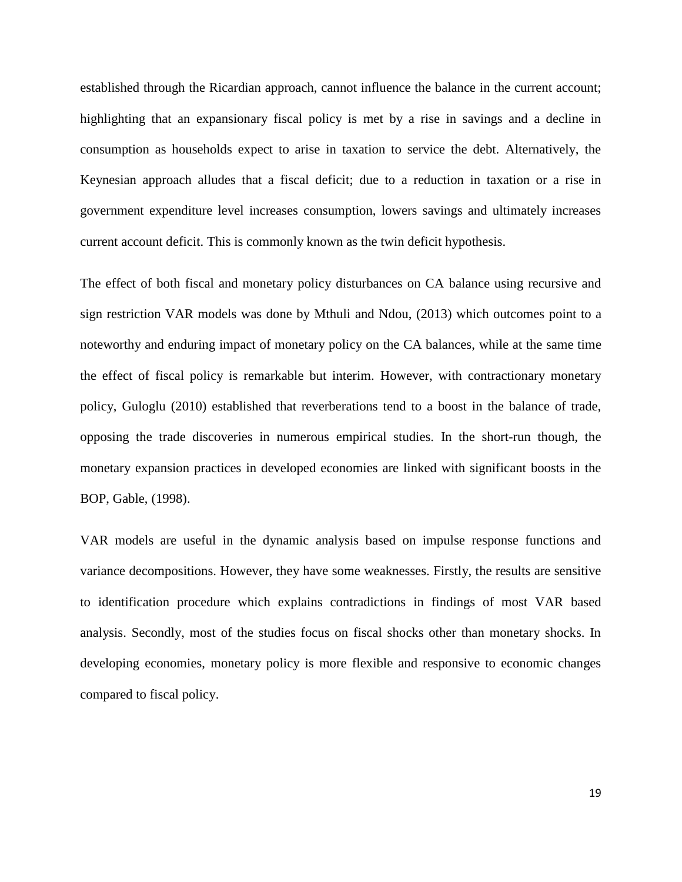established through the Ricardian approach, cannot influence the balance in the current account; highlighting that an expansionary fiscal policy is met by a rise in savings and a decline in consumption as households expect to arise in taxation to service the debt. Alternatively, the Keynesian approach alludes that a fiscal deficit; due to a reduction in taxation or a rise in government expenditure level increases consumption, lowers savings and ultimately increases current account deficit. This is commonly known as the twin deficit hypothesis.

The effect of both fiscal and monetary policy disturbances on CA balance using recursive and sign restriction VAR models was done by Mthuli and Ndou, (2013) which outcomes point to a noteworthy and enduring impact of monetary policy on the CA balances, while at the same time the effect of fiscal policy is remarkable but interim. However, with contractionary monetary policy, Guloglu (2010) established that reverberations tend to a boost in the balance of trade, opposing the trade discoveries in numerous empirical studies. In the short-run though, the monetary expansion practices in developed economies are linked with significant boosts in the BOP, Gable, (1998).

VAR models are useful in the dynamic analysis based on impulse response functions and variance decompositions. However, they have some weaknesses. Firstly, the results are sensitive to identification procedure which explains contradictions in findings of most VAR based analysis. Secondly, most of the studies focus on fiscal shocks other than monetary shocks. In developing economies, monetary policy is more flexible and responsive to economic changes compared to fiscal policy.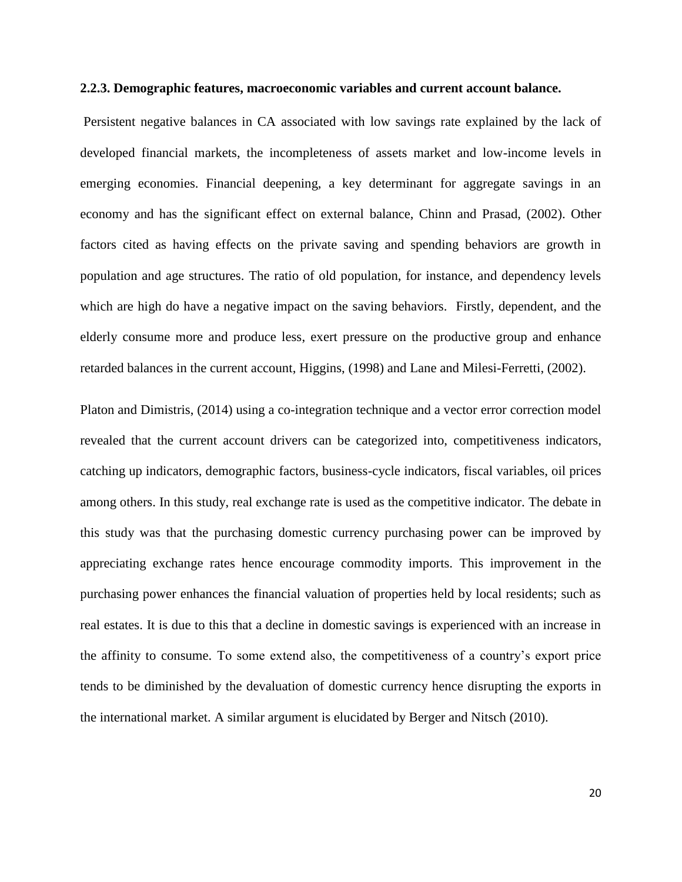#### <span id="page-30-0"></span>**2.2.3. Demographic features, macroeconomic variables and current account balance.**

Persistent negative balances in CA associated with low savings rate explained by the lack of developed financial markets, the incompleteness of assets market and low-income levels in emerging economies. Financial deepening, a key determinant for aggregate savings in an economy and has the significant effect on external balance, Chinn and Prasad, (2002). Other factors cited as having effects on the private saving and spending behaviors are growth in population and age structures. The ratio of old population, for instance, and dependency levels which are high do have a negative impact on the saving behaviors. Firstly, dependent, and the elderly consume more and produce less, exert pressure on the productive group and enhance retarded balances in the current account, Higgins, (1998) and Lane and Milesi-Ferretti, (2002).

Platon and Dimistris, (2014) using a co-integration technique and a vector error correction model revealed that the current account drivers can be categorized into, competitiveness indicators, catching up indicators, demographic factors, business-cycle indicators, fiscal variables, oil prices among others. In this study, real exchange rate is used as the competitive indicator. The debate in this study was that the purchasing domestic currency purchasing power can be improved by appreciating exchange rates hence encourage commodity imports. This improvement in the purchasing power enhances the financial valuation of properties held by local residents; such as real estates. It is due to this that a decline in domestic savings is experienced with an increase in the affinity to consume. To some extend also, the competitiveness of a country's export price tends to be diminished by the devaluation of domestic currency hence disrupting the exports in the international market. A similar argument is elucidated by Berger and Nitsch (2010).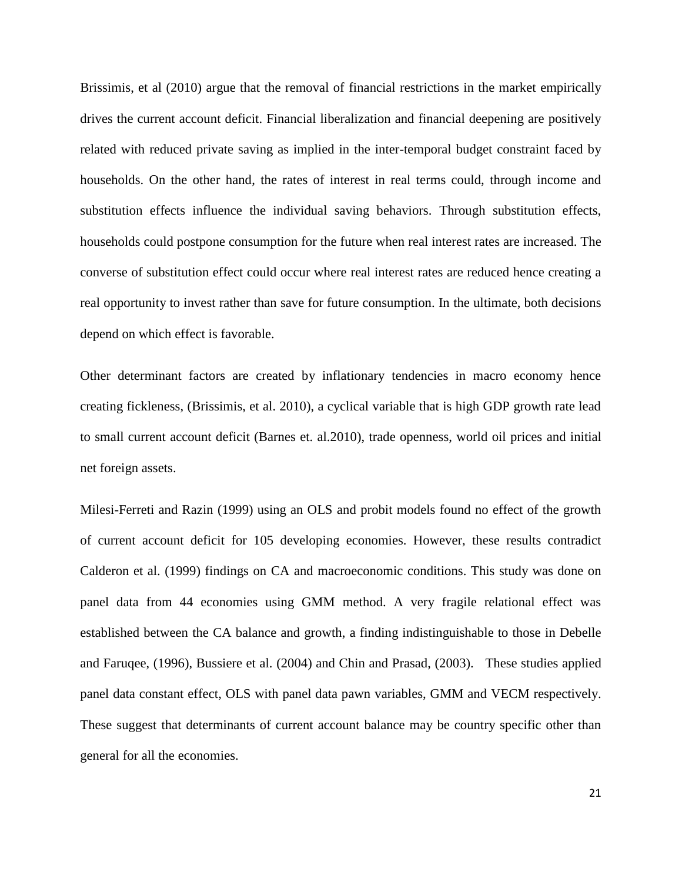Brissimis, et al (2010) argue that the removal of financial restrictions in the market empirically drives the current account deficit. Financial liberalization and financial deepening are positively related with reduced private saving as implied in the inter-temporal budget constraint faced by households. On the other hand, the rates of interest in real terms could, through income and substitution effects influence the individual saving behaviors. Through substitution effects, households could postpone consumption for the future when real interest rates are increased. The converse of substitution effect could occur where real interest rates are reduced hence creating a real opportunity to invest rather than save for future consumption. In the ultimate, both decisions depend on which effect is favorable.

Other determinant factors are created by inflationary tendencies in macro economy hence creating fickleness, (Brissimis, et al. 2010), a cyclical variable that is high GDP growth rate lead to small current account deficit (Barnes et. al.2010), trade openness, world oil prices and initial net foreign assets.

Milesi-Ferreti and Razin (1999) using an OLS and probit models found no effect of the growth of current account deficit for 105 developing economies. However, these results contradict Calderon et al. (1999) findings on CA and macroeconomic conditions. This study was done on panel data from 44 economies using GMM method. A very fragile relational effect was established between the CA balance and growth, a finding indistinguishable to those in Debelle and Faruqee, (1996), Bussiere et al. (2004) and Chin and Prasad, (2003). These studies applied panel data constant effect, OLS with panel data pawn variables, GMM and VECM respectively. These suggest that determinants of current account balance may be country specific other than general for all the economies.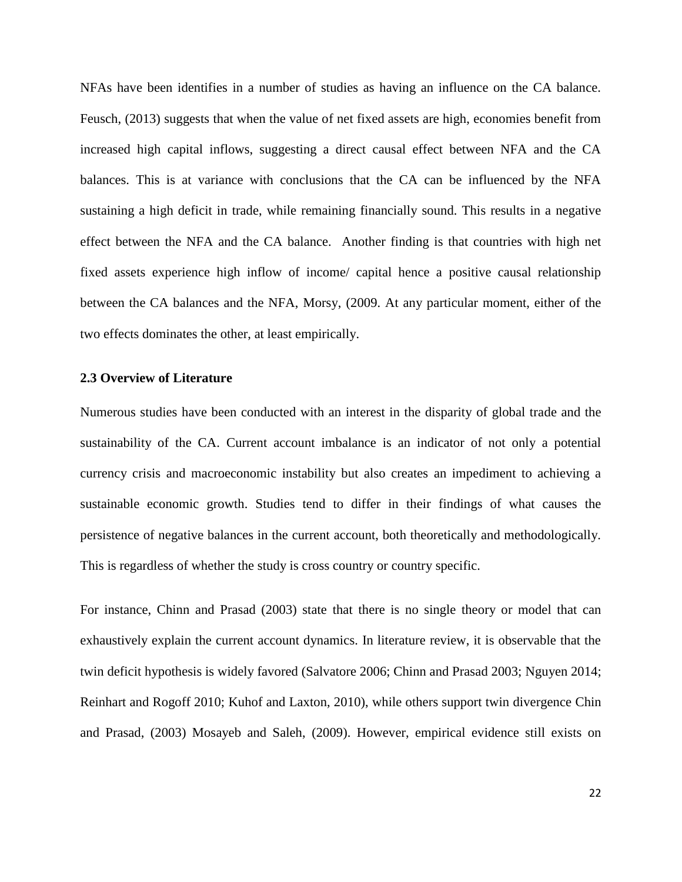NFAs have been identifies in a number of studies as having an influence on the CA balance. Feusch, (2013) suggests that when the value of net fixed assets are high, economies benefit from increased high capital inflows, suggesting a direct causal effect between NFA and the CA balances. This is at variance with conclusions that the CA can be influenced by the NFA sustaining a high deficit in trade, while remaining financially sound. This results in a negative effect between the NFA and the CA balance. Another finding is that countries with high net fixed assets experience high inflow of income/ capital hence a positive causal relationship between the CA balances and the NFA, Morsy, (2009. At any particular moment, either of the two effects dominates the other, at least empirically.

#### <span id="page-32-0"></span>**2.3 Overview of Literature**

Numerous studies have been conducted with an interest in the disparity of global trade and the sustainability of the CA. Current account imbalance is an indicator of not only a potential currency crisis and macroeconomic instability but also creates an impediment to achieving a sustainable economic growth. Studies tend to differ in their findings of what causes the persistence of negative balances in the current account, both theoretically and methodologically. This is regardless of whether the study is cross country or country specific.

For instance, Chinn and Prasad (2003) state that there is no single theory or model that can exhaustively explain the current account dynamics. In literature review, it is observable that the twin deficit hypothesis is widely favored (Salvatore 2006; Chinn and Prasad 2003; Nguyen 2014; Reinhart and Rogoff 2010; Kuhof and Laxton, 2010), while others support twin divergence Chin and Prasad, (2003) Mosayeb and Saleh, (2009). However, empirical evidence still exists on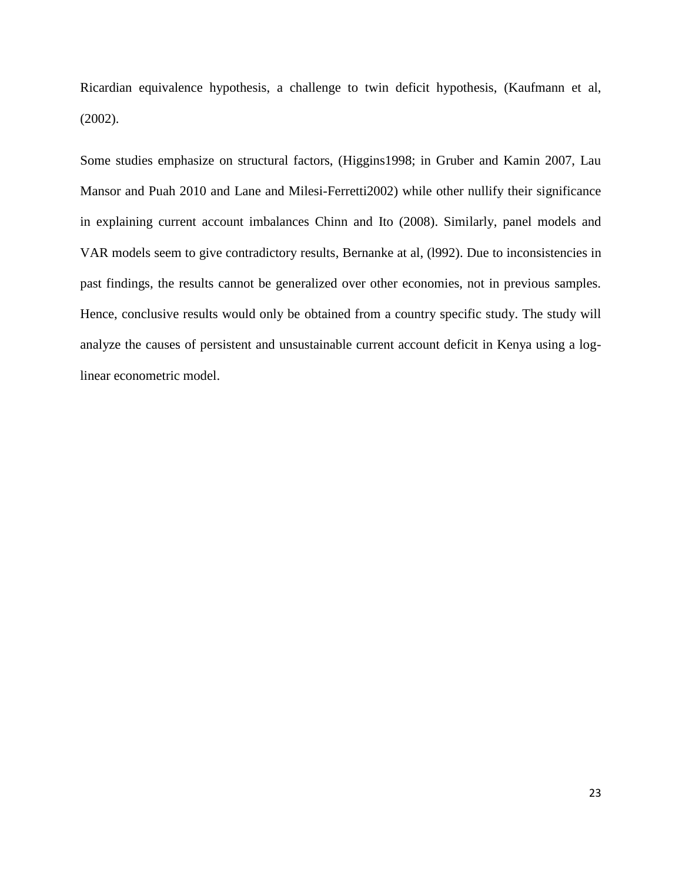Ricardian equivalence hypothesis, a challenge to twin deficit hypothesis, (Kaufmann et al, (2002).

Some studies emphasize on structural factors, (Higgins1998; in Gruber and Kamin 2007, Lau Mansor and Puah 2010 and Lane and Milesi-Ferretti2002) while other nullify their significance in explaining current account imbalances Chinn and Ito (2008). Similarly, panel models and VAR models seem to give contradictory results, Bernanke at al, (l992). Due to inconsistencies in past findings, the results cannot be generalized over other economies, not in previous samples. Hence, conclusive results would only be obtained from a country specific study. The study will analyze the causes of persistent and unsustainable current account deficit in Kenya using a loglinear econometric model.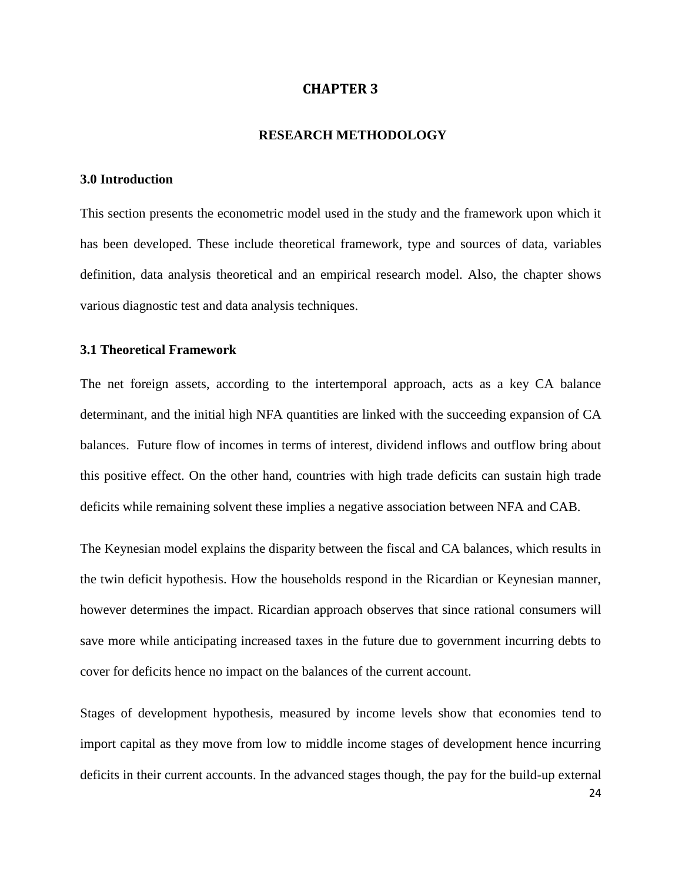### **CHAPTER 3**

#### **RESEARCH METHODOLOGY**

#### <span id="page-34-2"></span><span id="page-34-1"></span><span id="page-34-0"></span>**3.0 Introduction**

This section presents the econometric model used in the study and the framework upon which it has been developed. These include theoretical framework, type and sources of data, variables definition, data analysis theoretical and an empirical research model. Also, the chapter shows various diagnostic test and data analysis techniques.

#### <span id="page-34-3"></span>**3.1 Theoretical Framework**

The net foreign assets, according to the intertemporal approach, acts as a key CA balance determinant, and the initial high NFA quantities are linked with the succeeding expansion of CA balances. Future flow of incomes in terms of interest, dividend inflows and outflow bring about this positive effect. On the other hand, countries with high trade deficits can sustain high trade deficits while remaining solvent these implies a negative association between NFA and CAB.

The Keynesian model explains the disparity between the fiscal and CA balances, which results in the twin deficit hypothesis. How the households respond in the Ricardian or Keynesian manner, however determines the impact. Ricardian approach observes that since rational consumers will save more while anticipating increased taxes in the future due to government incurring debts to cover for deficits hence no impact on the balances of the current account.

Stages of development hypothesis, measured by income levels show that economies tend to import capital as they move from low to middle income stages of development hence incurring deficits in their current accounts. In the advanced stages though, the pay for the build-up external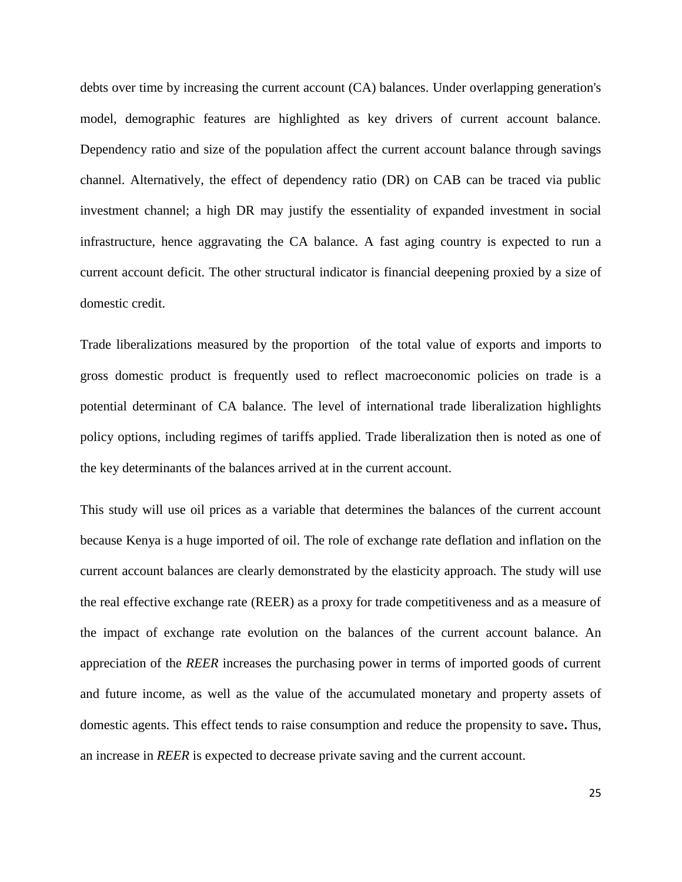debts over time by increasing the current account (CA) balances. Under overlapping generation's model, demographic features are highlighted as key drivers of current account balance. Dependency ratio and size of the population affect the current account balance through savings channel. Alternatively, the effect of dependency ratio (DR) on CAB can be traced via public investment channel; a high DR may justify the essentiality of expanded investment in social infrastructure, hence aggravating the CA balance. A fast aging country is expected to run a current account deficit. The other structural indicator is financial deepening proxied by a size of domestic credit.

Trade liberalizations measured by the proportion of the total value of exports and imports to gross domestic product is frequently used to reflect macroeconomic policies on trade is a potential determinant of CA balance. The level of international trade liberalization highlights policy options, including regimes of tariffs applied. Trade liberalization then is noted as one of the key determinants of the balances arrived at in the current account.

This study will use oil prices as a variable that determines the balances of the current account because Kenya is a huge imported of oil. The role of exchange rate deflation and inflation on the current account balances are clearly demonstrated by the elasticity approach. The study will use the real effective exchange rate (REER) as a proxy for trade competitiveness and as a measure of the impact of exchange rate evolution on the balances of the current account balance. An appreciation of the *REER* increases the purchasing power in terms of imported goods of current and future income, as well as the value of the accumulated monetary and property assets of domestic agents. This effect tends to raise consumption and reduce the propensity to save**.** Thus, an increase in *REER* is expected to decrease private saving and the current account.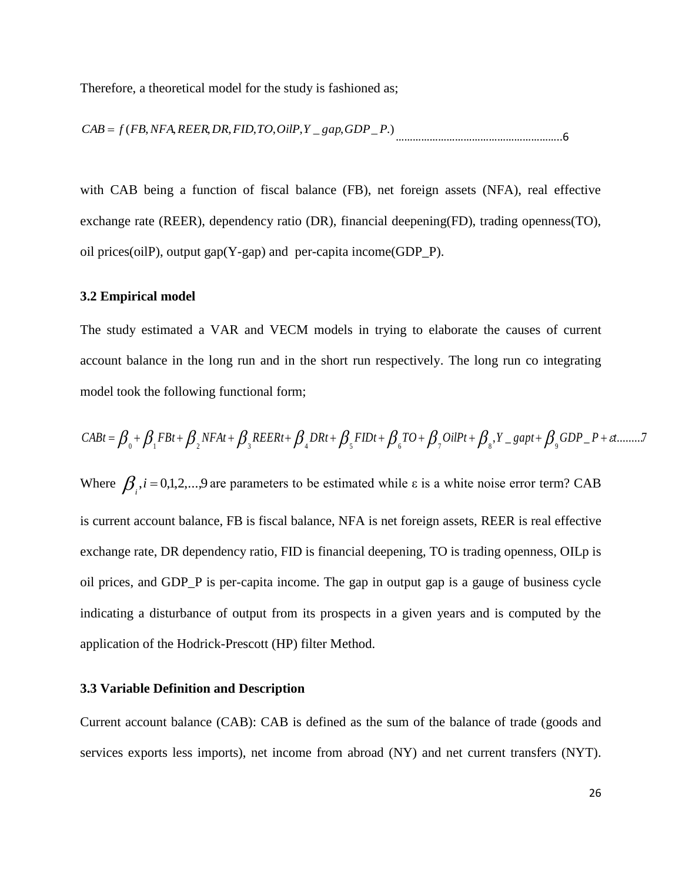Therefore, a theoretical model for the study is fashioned as;

*CAB f* (*FB*,*NFA*,*REER*,*DR*,*FID*,*TO*,*OilP*,*Y* \_ *gap*,*GDP*\_ *P*.) …………………………………………………..6

with CAB being a function of fiscal balance (FB), net foreign assets (NFA), real effective exchange rate (REER), dependency ratio (DR), financial deepening(FD), trading openness(TO), oil prices(oilP), output gap(Y-gap) and per-capita income(GDP\_P).

#### <span id="page-36-0"></span>**3.2 Empirical model**

The study estimated a VAR and VECM models in trying to elaborate the causes of current account balance in the long run and in the short run respectively. The long run co integrating model took the following functional form;

 $\beta_0 + \beta_1 F B t + \beta_2 NFA t + \beta_3 REER t + \beta_4 DRt + \beta_5 FD t + \beta_6 TO + \beta_7 OilPt + \beta_8, Y\_gap t + \beta_9 GDP\_P + \varepsilon t$ ........... model took the following functional form;<br>  $CABt = \beta_0 + \beta_1 FBt + \beta_2 NFAt + \beta_3 REERt + \beta_4 DRt + \beta_5 FIDt + \beta_6 TO + \beta_7 OilPt + \beta_8, Y = gapt + \beta_9 GDP - P + et$ Where  $\beta$ <sub>*i*</sub>, *i* = 0,1,2,...,9 are parameters to be estimated while  $\varepsilon$  is a white noise error term? CAB is current account balance, FB is fiscal balance, NFA is net foreign assets, REER is real effective exchange rate, DR dependency ratio, FID is financial deepening, TO is trading openness, OILp is oil prices, and GDP\_P is per-capita income. The gap in output gap is a gauge of business cycle indicating a disturbance of output from its prospects in a given years and is computed by the application of the Hodrick-Prescott (HP) filter Method.

#### <span id="page-36-1"></span>**3.3 Variable Definition and Description**

Current account balance (CAB): CAB is defined as the sum of the balance of trade (goods and services exports less imports), net income from abroad (NY) and net current transfers (NYT).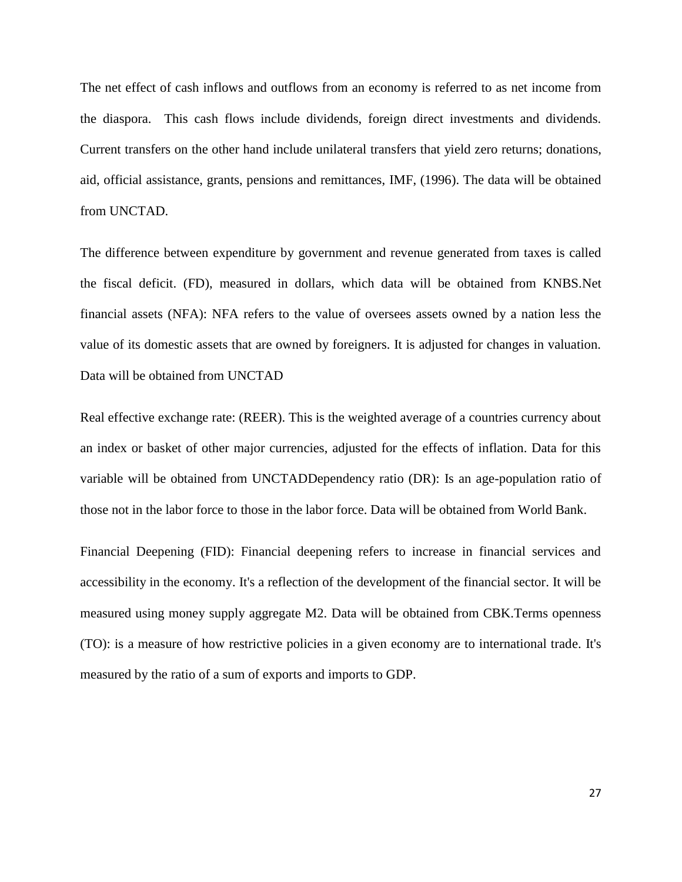The net effect of cash inflows and outflows from an economy is referred to as net income from the diaspora. This cash flows include dividends, foreign direct investments and dividends. Current transfers on the other hand include unilateral transfers that yield zero returns; donations, aid, official assistance, grants, pensions and remittances, IMF, (1996). The data will be obtained from UNCTAD.

The difference between expenditure by government and revenue generated from taxes is called the fiscal deficit. (FD), measured in dollars, which data will be obtained from KNBS.Net financial assets (NFA): NFA refers to the value of oversees assets owned by a nation less the value of its domestic assets that are owned by foreigners. It is adjusted for changes in valuation. Data will be obtained from UNCTAD

Real effective exchange rate: (REER). This is the weighted average of a countries currency about an index or basket of other major currencies, adjusted for the effects of inflation. Data for this variable will be obtained from UNCTADDependency ratio (DR): Is an age-population ratio of those not in the labor force to those in the labor force. Data will be obtained from World Bank.

Financial Deepening (FID): Financial deepening refers to increase in financial services and accessibility in the economy. It's a reflection of the development of the financial sector. It will be measured using money supply aggregate M2. Data will be obtained from CBK.Terms openness (TO): is a measure of how restrictive policies in a given economy are to international trade. It's measured by the ratio of a sum of exports and imports to GDP.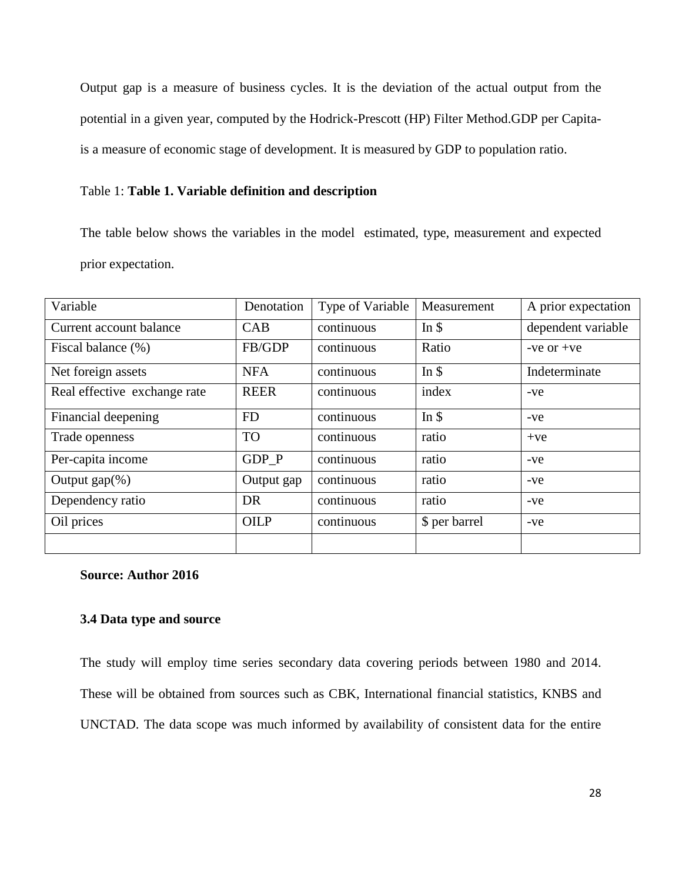Output gap is a measure of business cycles. It is the deviation of the actual output from the potential in a given year, computed by the Hodrick-Prescott (HP) Filter Method.GDP per Capitais a measure of economic stage of development. It is measured by GDP to population ratio.

### Table 1: **Table 1. Variable definition and description**

The table below shows the variables in the model estimated, type, measurement and expected prior expectation.

| Variable                     | Denotation  | Type of Variable | Measurement      | A prior expectation |
|------------------------------|-------------|------------------|------------------|---------------------|
| Current account balance      | CAB         | continuous       | In $\frac{1}{2}$ | dependent variable  |
| Fiscal balance (%)           | FB/GDP      | continuous       | Ratio            | $-ve$ or $+ve$      |
| Net foreign assets           | <b>NFA</b>  | continuous       | In $\$           | Indeterminate       |
| Real effective exchange rate | <b>REER</b> | continuous       | index            | $-ve$               |
| Financial deepening          | <b>FD</b>   | continuous       | In $\$           | $-ve$               |
| Trade openness               | <b>TO</b>   | continuous       | ratio            | $+ve$               |
| Per-capita income            | GDP P       | continuous       | ratio            | $-ve$               |
| Output $\text{gap}(\%)$      | Output gap  | continuous       | ratio            | $-ve$               |
| Dependency ratio             | DR          | continuous       | ratio            | $-ve$               |
| Oil prices                   | <b>OILP</b> | continuous       | \$ per barrel    | $-ve$               |
|                              |             |                  |                  |                     |

#### <span id="page-38-0"></span>**Source: Author 2016**

## <span id="page-38-1"></span>**3.4 Data type and source**

The study will employ time series secondary data covering periods between 1980 and 2014. These will be obtained from sources such as CBK, International financial statistics, KNBS and UNCTAD. The data scope was much informed by availability of consistent data for the entire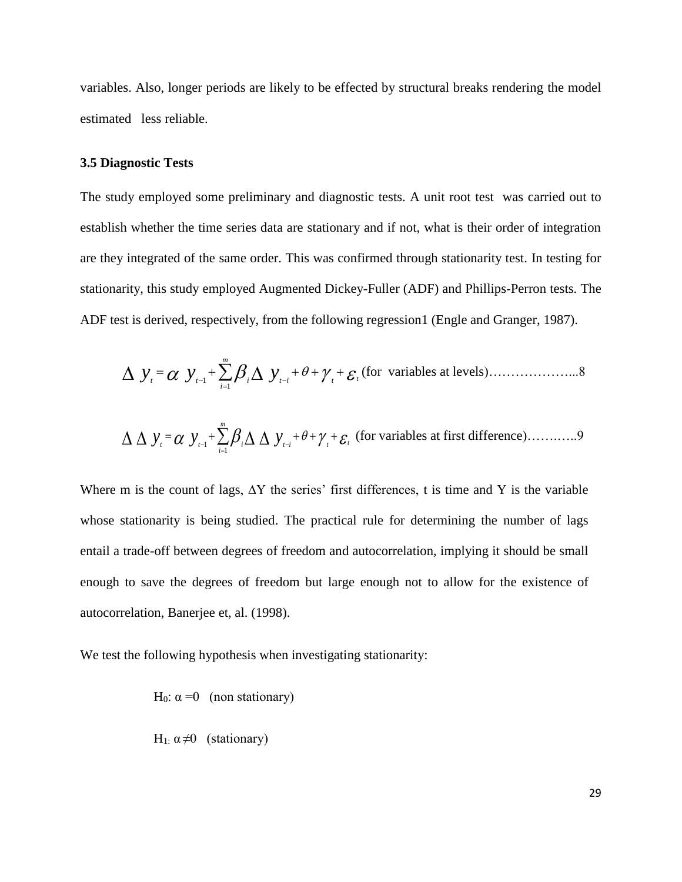variables. Also, longer periods are likely to be effected by structural breaks rendering the model estimated less reliable.

#### <span id="page-39-0"></span>**3.5 Diagnostic Tests**

The study employed some preliminary and diagnostic tests. A unit root test was carried out to establish whether the time series data are stationary and if not, what is their order of integration are they integrated of the same order. This was confirmed through stationarity test. In testing for stationarity, this study employed Augmented Dickey-Fuller (ADF) and Phillips-Perron tests. The ADF test is derived, respectively, from the following regression1 (Engle and Granger, 1987).

$$
\Delta y_{t} = \alpha y_{t-1} + \sum_{i=1}^{m} \beta_{i} \Delta y_{t-i} + \theta + \gamma_{t} + \varepsilon_{t}
$$
 (for variables at levels).

$$
\Delta \Delta y_i = \alpha y_{i-1} + \sum_{i=1}^{m} \beta_i \Delta \Delta y_{i-i} + \theta + \gamma_i + \varepsilon_i
$$
 (for variables at first difference).

Where m is the count of lags,  $\Delta Y$  the series' first differences, t is time and Y is the variable whose stationarity is being studied. The practical rule for determining the number of lags entail a trade-off between degrees of freedom and autocorrelation, implying it should be small enough to save the degrees of freedom but large enough not to allow for the existence of autocorrelation, Banerjee et, al. (1998).

We test the following hypothesis when investigating stationarity:

H<sub>0</sub>:  $\alpha = 0$  (non stationary)  $\mathbf{H} = \mathbf{a} \times \mathbf{b}$ 

H<sub>1</sub>: 
$$
\alpha \neq 0
$$
 (stationary)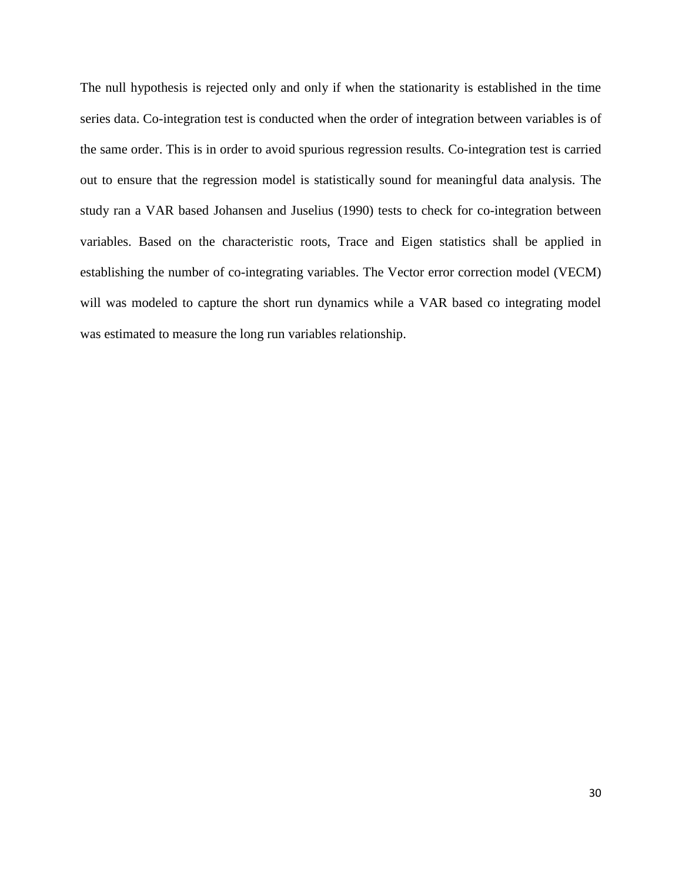The null hypothesis is rejected only and only if when the stationarity is established in the time series data. Co-integration test is conducted when the order of integration between variables is of the same order. This is in order to avoid spurious regression results. Co-integration test is carried out to ensure that the regression model is statistically sound for meaningful data analysis. The study ran a VAR based Johansen and Juselius (1990) tests to check for co-integration between variables. Based on the characteristic roots, Trace and Eigen statistics shall be applied in establishing the number of co-integrating variables. The Vector error correction model (VECM) will was modeled to capture the short run dynamics while a VAR based co integrating model was estimated to measure the long run variables relationship.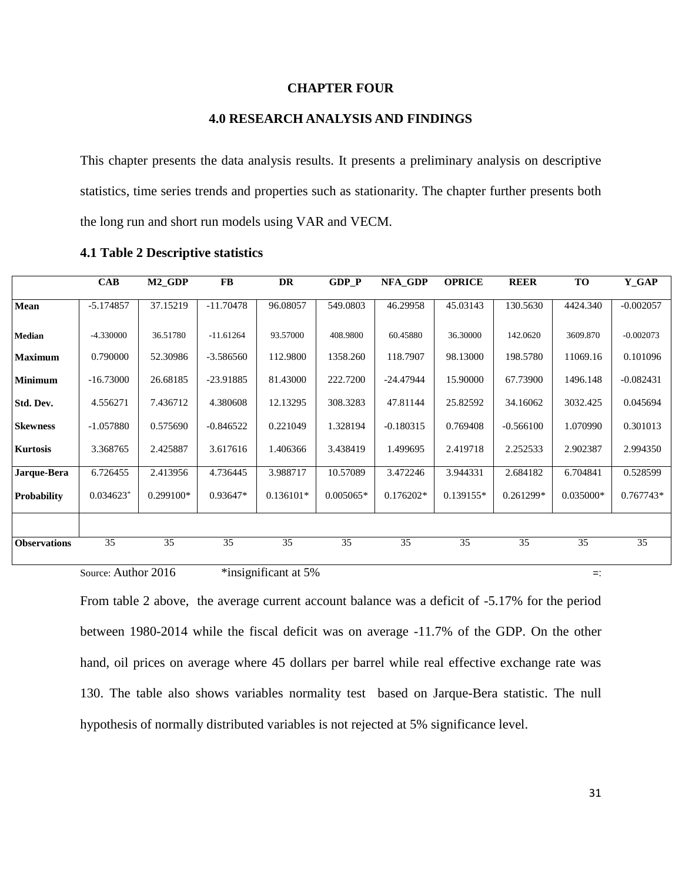### **CHAPTER FOUR**

### **4.0 RESEARCH ANALYSIS AND FINDINGS**

This chapter presents the data analysis results. It presents a preliminary analysis on descriptive statistics, time series trends and properties such as stationarity. The chapter further presents both the long run and short run models using VAR and VECM.

|                     | <b>CAB</b>              | M <sub>2</sub> GDP | FB          | <b>DR</b>   | <b>GDP P</b> | NFA_GDP     | <b>OPRICE</b> | <b>REER</b> | <b>TO</b>   | Y_GAP       |
|---------------------|-------------------------|--------------------|-------------|-------------|--------------|-------------|---------------|-------------|-------------|-------------|
| Mean                | $-5.174857$             | 37.15219           | $-11.70478$ | 96.08057    | 549.0803     | 46.29958    | 45.03143      | 130.5630    | 4424.340    | $-0.002057$ |
| Median              | -4.330000               | 36.51780           | $-11.61264$ | 93.57000    | 408.9800     | 60.45880    | 36.30000      | 142.0620    | 3609.870    | $-0.002073$ |
| Maximum             | 0.790000                | 52.30986           | $-3.586560$ | 112.9800    | 1358.260     | 118.7907    | 98.13000      | 198.5780    | 11069.16    | 0.101096    |
| Minimum             | $-16.73000$             | 26.68185           | $-23.91885$ | 81.43000    | 222.7200     | $-24.47944$ | 15.90000      | 67.73900    | 1496.148    | $-0.082431$ |
| Std. Dev.           | 4.556271                | 7.436712           | 4.380608    | 12.13295    | 308.3283     | 47.81144    | 25.82592      | 34.16062    | 3032.425    | 0.045694    |
| <b>Skewness</b>     | $-1.057880$             | 0.575690           | $-0.846522$ | 0.221049    | 1.328194     | $-0.180315$ | 0.769408      | $-0.566100$ | 1.070990    | 0.301013    |
| Kurtosis            | 3.368765                | 2.425887           | 3.617616    | 1.406366    | 3.438419     | 1.499695    | 2.419718      | 2.252533    | 2.902387    | 2.994350    |
| Jarque-Bera         | 6.726455                | 2.413956           | 4.736445    | 3.988717    | 10.57089     | 3.472246    | 3.944331      | 2.684182    | 6.704841    | 0.528599    |
| Probability         | $0.034623$ <sup>*</sup> | $0.299100*$        | $0.93647*$  | $0.136101*$ | $0.005065*$  | $0.176202*$ | $0.139155*$   | $0.261299*$ | $0.035000*$ | $0.767743*$ |
|                     |                         |                    |             |             |              |             |               |             |             |             |
| <b>Observations</b> | 35                      | 35                 | 35          | 35          | 35           | 35          | 35            | 35          | 35          | 35          |

**4.1 Table 2 Descriptive statistics**

Source: Author 2016  $\bullet$  \*insignificant at 5%  $\bullet$  =:

<span id="page-41-0"></span>From table 2 above, the average current account balance was a deficit of -5.17% for the period between 1980-2014 while the fiscal deficit was on average -11.7% of the GDP. On the other hand, oil prices on average where 45 dollars per barrel while real effective exchange rate was 130. The table also shows variables normality test based on Jarque-Bera statistic. The null hypothesis of normally distributed variables is not rejected at 5% significance level.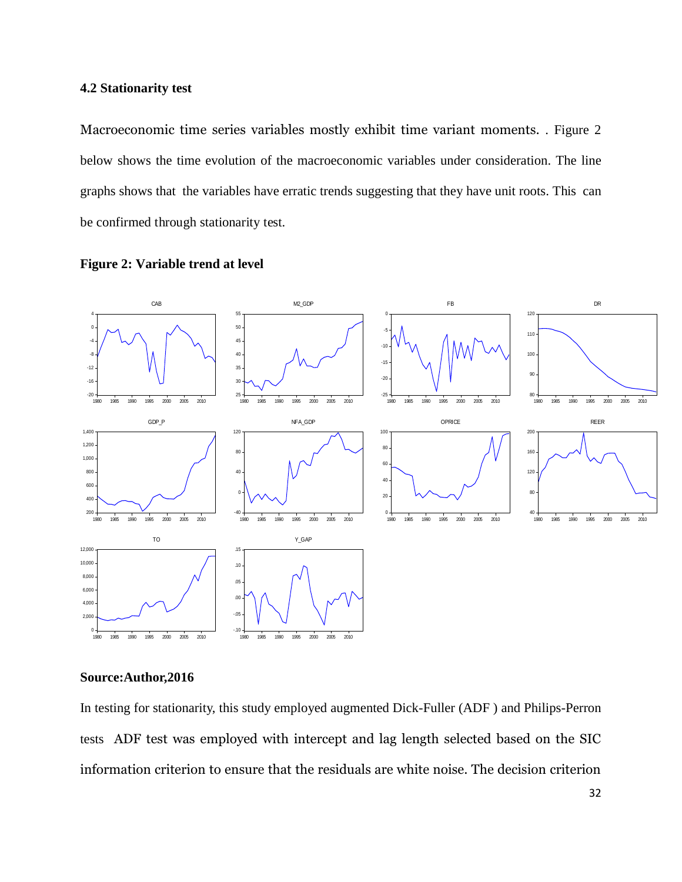### **4.2 Stationarity test**

Macroeconomic time series variables mostly exhibit time variant moments. . Figure 2 below shows the time evolution of the macroeconomic variables under consideration. The line graphs shows that the variables have erratic trends suggesting that they have unit roots. This can be confirmed through stationarity test.



### <span id="page-42-0"></span>**Figure 2: Variable trend at level**

### **Source:Author,2016**

In testing for stationarity, this study employed augmented Dick-Fuller (ADF ) and Philips-Perron tests ADF test was employed with intercept and lag length selected based on the SIC information criterion to ensure that the residuals are white noise. The decision criterion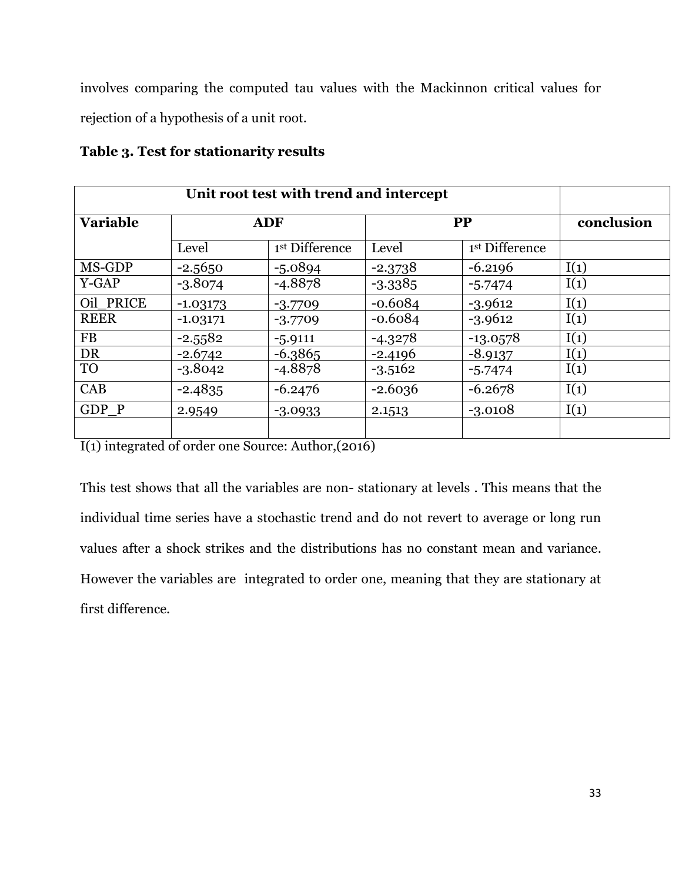involves comparing the computed tau values with the Mackinnon critical values for rejection of a hypothesis of a unit root.

| <b>Variable</b> | <b>ADF</b> |                | <b>PP</b> |                | conclusion |
|-----------------|------------|----------------|-----------|----------------|------------|
|                 | Level      | 1st Difference | Level     | 1st Difference |            |
| MS-GDP          | $-2.5650$  | $-5.0894$      | $-2.3738$ | $-6.2196$      | I(1)       |
| Y-GAP           | $-3.8074$  | $-4.8878$      | $-3.3385$ | $-5.7474$      | I(1)       |
| Oil PRICE       | $-1.03173$ | $-3.7709$      | $-0.6084$ | $-3.9612$      | I(1)       |
| <b>REER</b>     | $-1.03171$ | $-3.7709$      | $-0.6084$ | $-3.9612$      | I(1)       |
| <b>FB</b>       | $-2.5582$  | $-5.9111$      | $-4.3278$ | $-13.0578$     | I(1)       |
| DR              | $-2.6742$  | $-6.3865$      | $-2.4196$ | $-8.9137$      | I(1)       |
| <b>TO</b>       | $-3.8042$  | $-4.8878$      | $-3.5162$ | $-5.7474$      | I(1)       |
| CAB             | $-2.4835$  | $-6.2476$      | $-2.6036$ | $-6.2678$      | I(1)       |
| GDP P           | 2.9549     | $-3.0933$      | 2.1513    | $-3.0108$      | I(1)       |
|                 |            |                |           |                |            |

**Table 3. Test for stationarity results**

I(1) integrated of order one Source: Author,(2016)

This test shows that all the variables are non- stationary at levels . This means that the individual time series have a stochastic trend and do not revert to average or long run values after a shock strikes and the distributions has no constant mean and variance. However the variables are integrated to order one, meaning that they are stationary at first difference.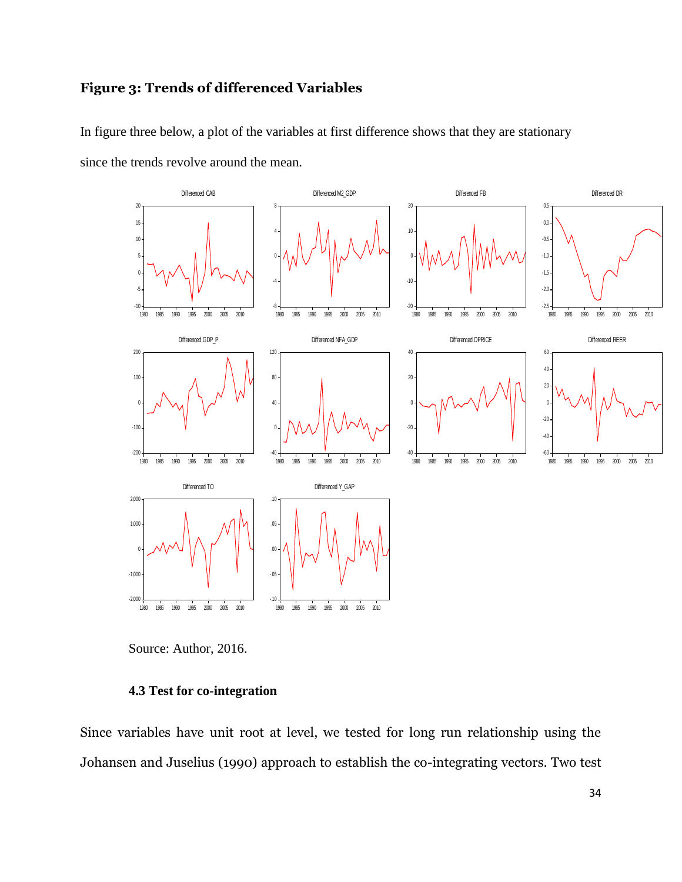# **Figure 3: Trends of differenced Variables**

In figure three below, a plot of the variables at first difference shows that they are stationary

since the trends revolve around the mean.



Source: Author, 2016.

#### **4.3 Test for co-integration**

Since variables have unit root at level, we tested for long run relationship using the Johansen and Juselius (1990) approach to establish the co-integrating vectors. Two test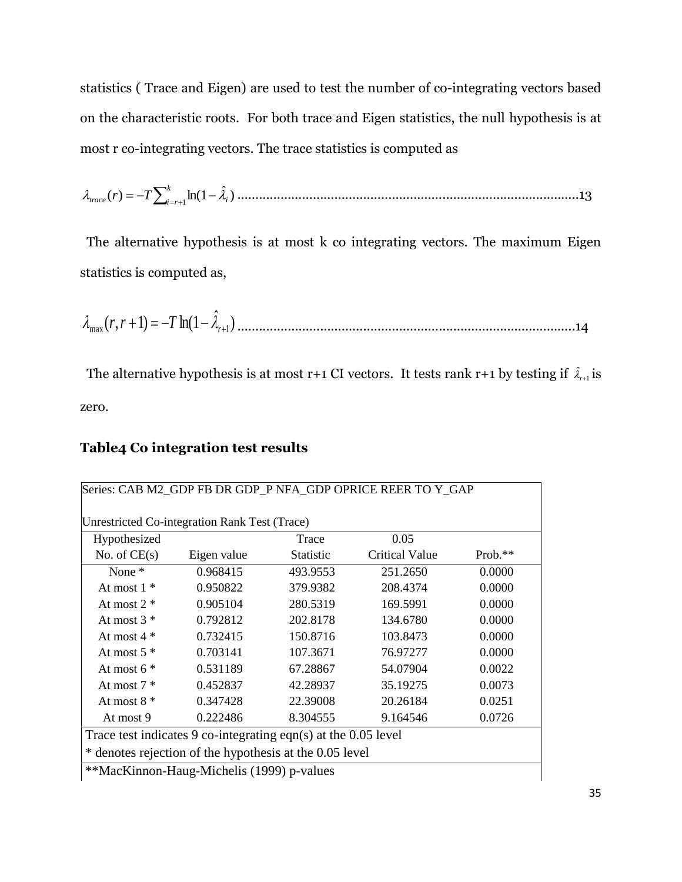statistics ( Trace and Eigen) are used to test the number of co-integrating vectors based on the characteristic roots. For both trace and Eigen statistics, the null hypothesis is at most r co-integrating vectors. The trace statistics is computed as

 *k i r trace T <sup>i</sup> r* 1 ) ˆ ( ) ln(1 …………………………………………………..………………..……..……..13

 The alternative hypothesis is at most k co integrating vectors. The maximum Eigen statistics is computed as,

) ˆ ( , 1) ln(1 max <sup>1</sup> *<sup>r</sup> r r T* ……..………………………………………………..…….…………………..14

The alternative hypothesis is at most r+1 CI vectors. It tests rank r+1 by testing if  $\hat{\lambda}_{r+1}$  is zero.

## **Table4 Co integration test results**

| Hypothesized      |             | Trace     | 0.05                  |           |
|-------------------|-------------|-----------|-----------------------|-----------|
| No. of $CE(s)$    | Eigen value | Statistic | <b>Critical Value</b> | $Prob.**$ |
| None <sup>*</sup> | 0.968415    | 493.9553  | 251.2650              | 0.0000    |
| At most $1 *$     | 0.950822    | 379.9382  | 208.4374              | 0.0000    |
| At most $2 *$     | 0.905104    | 280.5319  | 169.5991              | 0.0000    |
| At most $3*$      | 0.792812    | 202.8178  | 134.6780              | 0.0000    |
| At most $4 *$     | 0.732415    | 150.8716  | 103.8473              | 0.0000    |
| At most $5*$      | 0.703141    | 107.3671  | 76.97277              | 0.0000    |
| At most $6*$      | 0.531189    | 67.28867  | 54.07904              | 0.0022    |
| At most $7 *$     | 0.452837    | 42.28937  | 35.19275              | 0.0073    |
| At most $8*$      | 0.347428    | 22.39008  | 20.26184              | 0.0251    |
| At most 9         | 0.222486    | 8.304555  | 9.164546              | 0.0726    |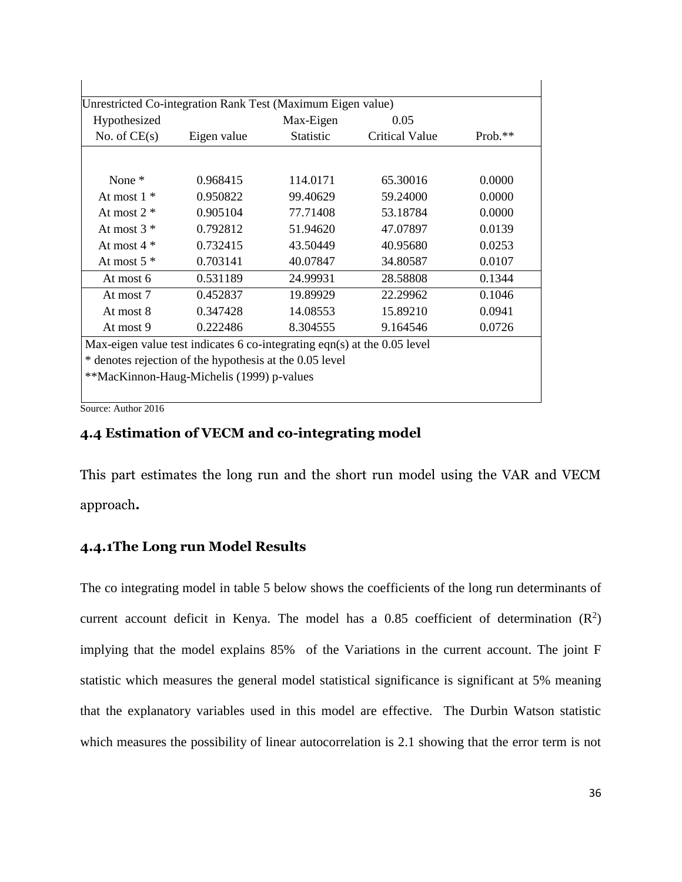| Hypothesized   |                                                                                    | Max-Eigen        | 0.05                  |         |
|----------------|------------------------------------------------------------------------------------|------------------|-----------------------|---------|
| No. of $CE(s)$ | Eigen value                                                                        | <b>Statistic</b> | <b>Critical Value</b> | Prob.** |
| None $*$       |                                                                                    | 114.0171         | 65.30016              | 0.0000  |
| At most $1 *$  | 0.968415<br>0.950822                                                               | 99.40629         | 59.24000              | 0.0000  |
| At most $2 *$  | 0.905104                                                                           | 77.71408         | 53.18784              | 0.0000  |
| At most $3*$   | 0.792812                                                                           | 51.94620         | 47.07897              | 0.0139  |
| At most $4 *$  | 0.732415                                                                           | 43.50449         | 40.95680              | 0.0253  |
| At most $5*$   | 0.703141                                                                           | 40.07847         | 34.80587              | 0.0107  |
| At most 6      | 0.531189                                                                           | 24.99931         | 28.58808              | 0.1344  |
| At most 7      | 0.452837                                                                           | 19.89929         | 22.29962              | 0.1046  |
| At most 8      | 0.347428                                                                           | 14.08553         | 15.89210              | 0.0941  |
| At most 9      | 0.222486                                                                           | 8.304555         | 9.164546              | 0.0726  |
|                | Max-eigen value test indicates $6 \text{ co-integrating eqn}(s)$ at the 0.05 level |                  |                       |         |
|                | * denotes rejection of the hypothesis at the 0.05 level                            |                  |                       |         |

Source: Author 2016

# **4.4 Estimation of VECM and co-integrating model**

This part estimates the long run and the short run model using the VAR and VECM approach**.**

# **4.4.1The Long run Model Results**

The co integrating model in table 5 below shows the coefficients of the long run determinants of current account deficit in Kenya. The model has a 0.85 coefficient of determination  $(R^2)$ implying that the model explains 85% of the Variations in the current account. The joint F statistic which measures the general model statistical significance is significant at 5% meaning that the explanatory variables used in this model are effective. The Durbin Watson statistic which measures the possibility of linear autocorrelation is 2.1 showing that the error term is not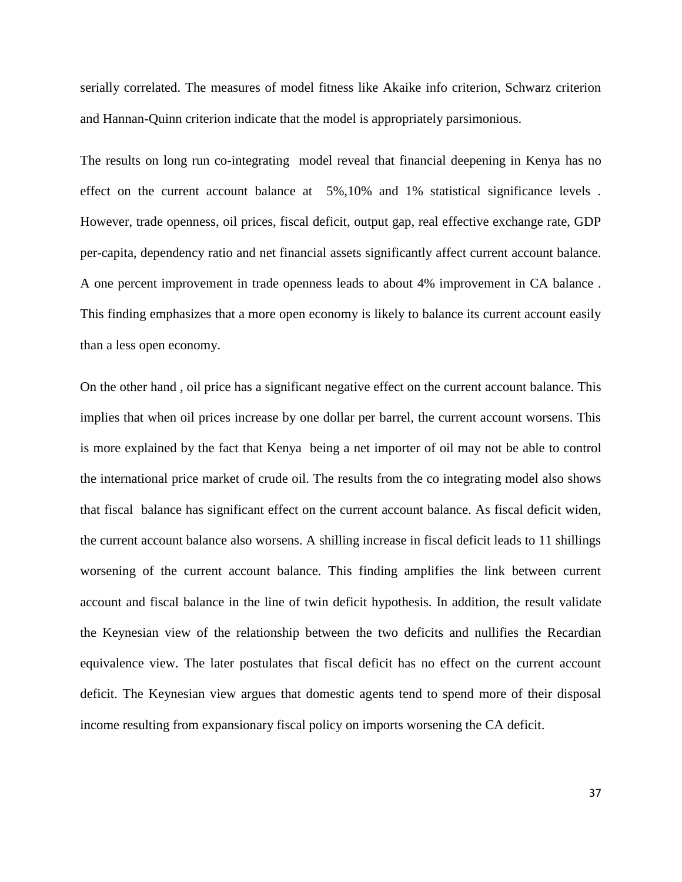serially correlated. The measures of model fitness like Akaike info criterion, Schwarz criterion and Hannan-Quinn criterion indicate that the model is appropriately parsimonious.

The results on long run co-integrating model reveal that financial deepening in Kenya has no effect on the current account balance at 5%,10% and 1% statistical significance levels . However, trade openness, oil prices, fiscal deficit, output gap, real effective exchange rate, GDP per-capita, dependency ratio and net financial assets significantly affect current account balance. A one percent improvement in trade openness leads to about 4% improvement in CA balance . This finding emphasizes that a more open economy is likely to balance its current account easily than a less open economy.

On the other hand , oil price has a significant negative effect on the current account balance. This implies that when oil prices increase by one dollar per barrel, the current account worsens. This is more explained by the fact that Kenya being a net importer of oil may not be able to control the international price market of crude oil. The results from the co integrating model also shows that fiscal balance has significant effect on the current account balance. As fiscal deficit widen, the current account balance also worsens. A shilling increase in fiscal deficit leads to 11 shillings worsening of the current account balance. This finding amplifies the link between current account and fiscal balance in the line of twin deficit hypothesis. In addition, the result validate the Keynesian view of the relationship between the two deficits and nullifies the Recardian equivalence view. The later postulates that fiscal deficit has no effect on the current account deficit. The Keynesian view argues that domestic agents tend to spend more of their disposal income resulting from expansionary fiscal policy on imports worsening the CA deficit.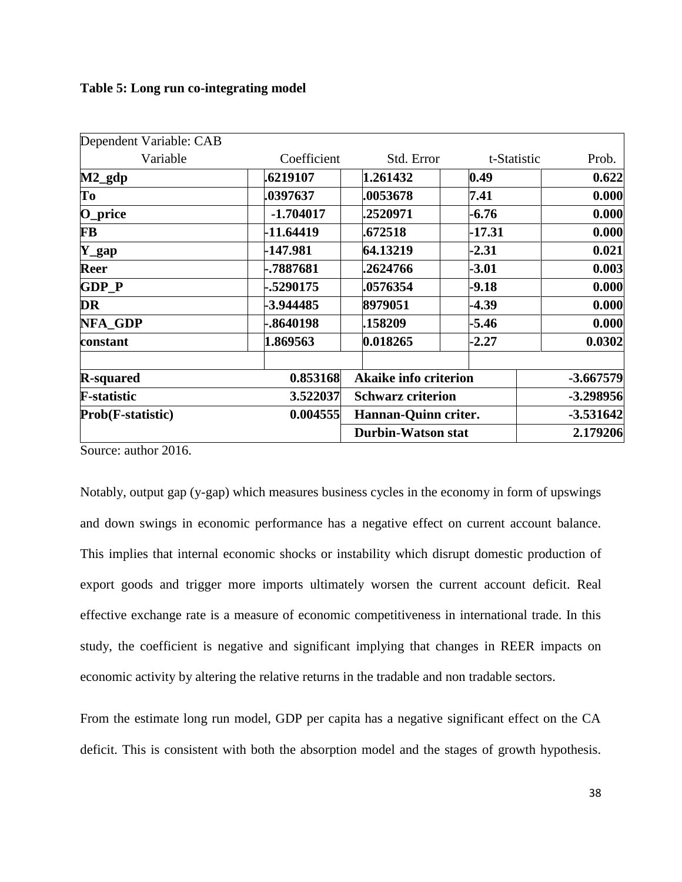### **Table 5: Long run co-integrating model**

| Dependent Variable: CAB        |             |                              |             |             |
|--------------------------------|-------------|------------------------------|-------------|-------------|
| Variable                       | Coefficient | Std. Error                   | t-Statistic | Prob.       |
| $M2$ _gdp                      | .6219107    | 1.261432                     | 0.49        | 0.622       |
| To                             | .0397637    | .0053678                     | 7.41        | 0.000       |
| O_price                        | $-1.704017$ | .2520971                     | -6.76       | 0.000       |
| <b>FB</b>                      | $-11.64419$ | .672518                      | $-17.31$    | 0.000       |
| $Y$ <i>_gap</i>                | -147.981    | 64.13219                     | $-2.31$     | 0.021       |
| Reer                           | -.7887681   | .2624766                     | $-3.01$     | 0.003       |
| <b>GDP P</b>                   | -.5290175   | .0576354                     | $-9.18$     | 0.000       |
| <b>DR</b>                      | -3.944485   | 8979051                      | $-4.39$     | 0.000       |
| <b>NFA GDP</b>                 | -.8640198   | .158209                      | $-5.46$     | 0.000       |
| constant                       | 1.869563    | 0.018265                     | $-2.27$     | 0.0302      |
| <b>R-squared</b>               | 0.853168    | <b>Akaike info criterion</b> |             | $-3.667579$ |
| <b>F-statistic</b><br>3.522037 |             | <b>Schwarz criterion</b>     |             | $-3.298956$ |
| Prob(F-statistic)              | 0.004555    | Hannan-Quinn criter.         |             | $-3.531642$ |
|                                |             | Durbin-Watson stat           |             | 2.179206    |

Source: author 2016.

Notably, output gap (y-gap) which measures business cycles in the economy in form of upswings and down swings in economic performance has a negative effect on current account balance. This implies that internal economic shocks or instability which disrupt domestic production of export goods and trigger more imports ultimately worsen the current account deficit. Real effective exchange rate is a measure of economic competitiveness in international trade. In this study, the coefficient is negative and significant implying that changes in REER impacts on economic activity by altering the relative returns in the tradable and non tradable sectors.

From the estimate long run model, GDP per capita has a negative significant effect on the CA deficit. This is consistent with both the absorption model and the stages of growth hypothesis.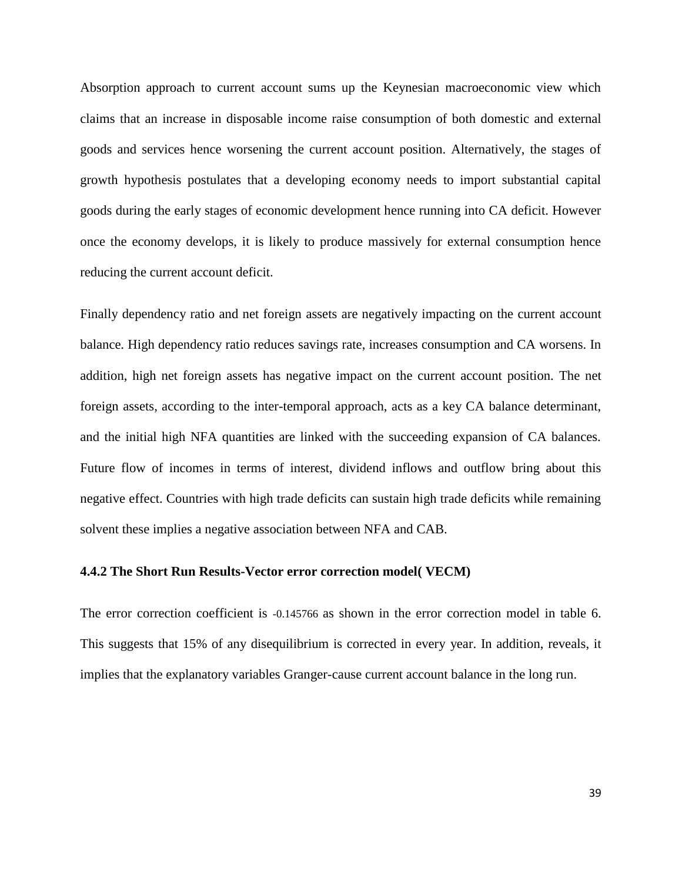Absorption approach to current account sums up the Keynesian macroeconomic view which claims that an increase in disposable income raise consumption of both domestic and external goods and services hence worsening the current account position. Alternatively, the stages of growth hypothesis postulates that a developing economy needs to import substantial capital goods during the early stages of economic development hence running into CA deficit. However once the economy develops, it is likely to produce massively for external consumption hence reducing the current account deficit.

Finally dependency ratio and net foreign assets are negatively impacting on the current account balance. High dependency ratio reduces savings rate, increases consumption and CA worsens. In addition, high net foreign assets has negative impact on the current account position. The net foreign assets, according to the inter-temporal approach, acts as a key CA balance determinant, and the initial high NFA quantities are linked with the succeeding expansion of CA balances. Future flow of incomes in terms of interest, dividend inflows and outflow bring about this negative effect. Countries with high trade deficits can sustain high trade deficits while remaining solvent these implies a negative association between NFA and CAB.

#### **4.4.2 The Short Run Results-Vector error correction model( VECM)**

The error correction coefficient is -0.145766 as shown in the error correction model in table 6. This suggests that 15% of any disequilibrium is corrected in every year. In addition, reveals, it implies that the explanatory variables Granger-cause current account balance in the long run.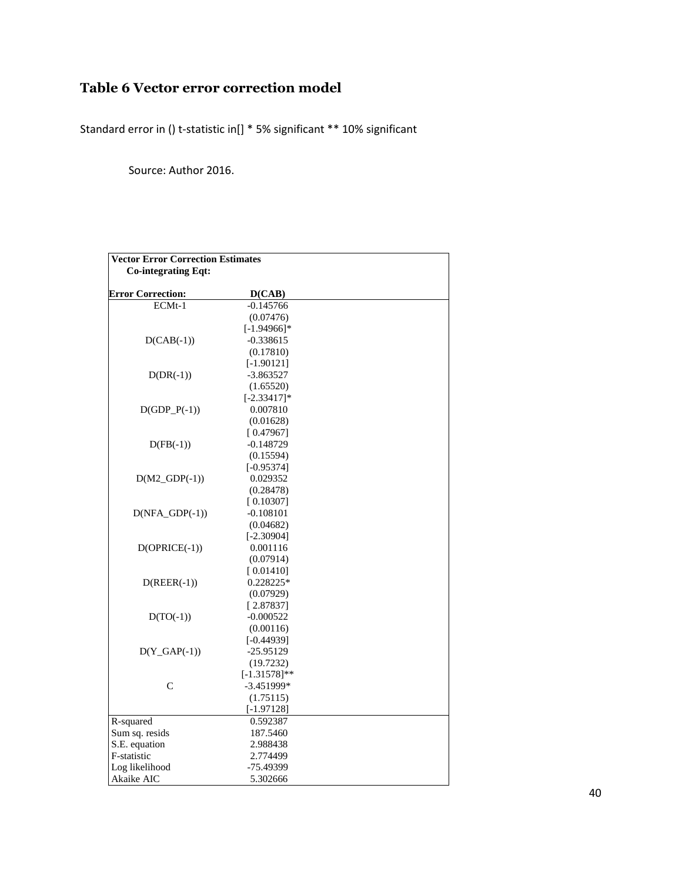# **Table 6 Vector error correction model**

Standard error in () t-statistic in[] \* 5% significant \*\* 10% significant

Source: Author 2016.

<span id="page-50-0"></span>

| <b>Vector Error Correction Estimates</b> |                 |  |
|------------------------------------------|-----------------|--|
| <b>Co-integrating Eqt:</b>               |                 |  |
|                                          |                 |  |
| <b>Error Correction:</b>                 | D(CAB)          |  |
| ECMt-1                                   | $-0.145766$     |  |
|                                          | (0.07476)       |  |
|                                          | $[-1.94966]$ *  |  |
| $D(CAB(-1))$                             | $-0.338615$     |  |
|                                          | (0.17810)       |  |
|                                          | $[-1.90121]$    |  |
| $D(DR(-1))$                              | $-3.863527$     |  |
|                                          | (1.65520)       |  |
|                                          | $[-2.33417]*$   |  |
| $D(GDP_P(-1))$                           | 0.007810        |  |
|                                          | (0.01628)       |  |
|                                          | [0.47967]       |  |
| $D(FB(-1))$                              | $-0.148729$     |  |
|                                          | (0.15594)       |  |
|                                          | $[-0.95374]$    |  |
| $D(M2_GDP(-1))$                          | 0.029352        |  |
|                                          | (0.28478)       |  |
|                                          | [0.10307]       |  |
| $D(NFA_GDP(-1))$                         | $-0.108101$     |  |
|                                          | (0.04682)       |  |
|                                          | $[-2.30904]$    |  |
| $D(OPRICE(-1))$                          | 0.001116        |  |
|                                          | (0.07914)       |  |
|                                          | [0.01410]       |  |
| $D(REER(-1))$                            | 0.228225*       |  |
|                                          | (0.07929)       |  |
|                                          | [2.87837]       |  |
| $D(TO(-1))$                              | $-0.000522$     |  |
|                                          | (0.00116)       |  |
|                                          | $[-0.44939]$    |  |
| $D(Y_GAP(-1))$                           | $-25.95129$     |  |
|                                          | (19.7232)       |  |
|                                          | $[-1.31578]$ ** |  |
| $\mathcal{C}$                            | $-3.451999*$    |  |
|                                          | (1.75115)       |  |
|                                          | $[-1.97128]$    |  |
| R-squared                                | 0.592387        |  |
| Sum sq. resids                           | 187.5460        |  |
| S.E. equation                            | 2.988438        |  |
| F-statistic                              | 2.774499        |  |
| Log likelihood                           | -75.49399       |  |
| Akaike AIC                               | 5.302666        |  |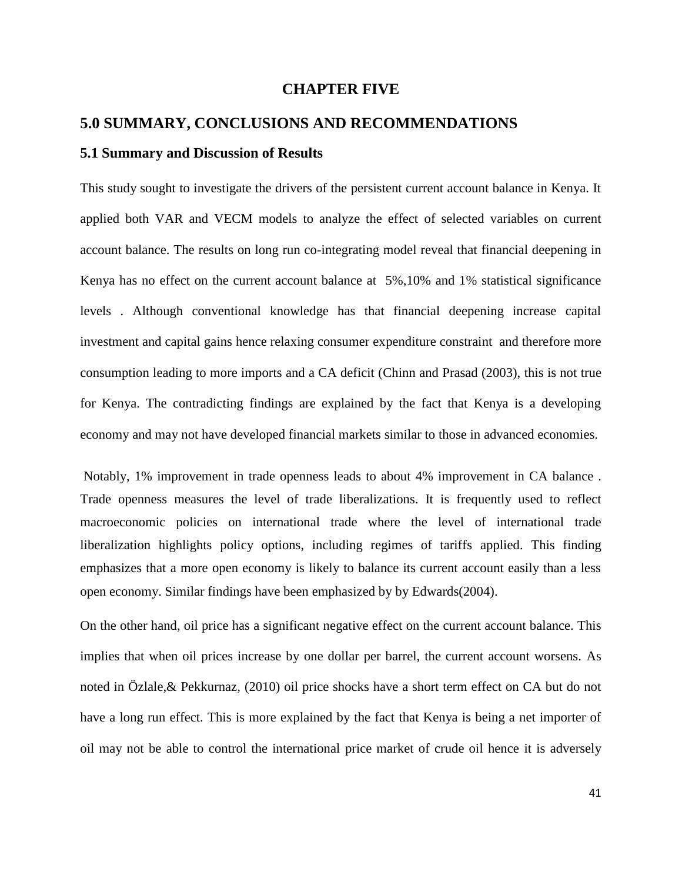### **CHAPTER FIVE**

# <span id="page-51-0"></span>**5.0 SUMMARY, CONCLUSIONS AND RECOMMENDATIONS 5.1 Summary and Discussion of Results**

This study sought to investigate the drivers of the persistent current account balance in Kenya. It applied both VAR and VECM models to analyze the effect of selected variables on current account balance. The results on long run co-integrating model reveal that financial deepening in Kenya has no effect on the current account balance at 5%,10% and 1% statistical significance levels . Although conventional knowledge has that financial deepening increase capital investment and capital gains hence relaxing consumer expenditure constraint and therefore more consumption leading to more imports and a CA deficit (Chinn and Prasad (2003), this is not true for Kenya. The contradicting findings are explained by the fact that Kenya is a developing economy and may not have developed financial markets similar to those in advanced economies.

Notably, 1% improvement in trade openness leads to about 4% improvement in CA balance . Trade openness measures the level of trade liberalizations. It is frequently used to reflect macroeconomic policies on international trade where the level of international trade liberalization highlights policy options, including regimes of tariffs applied. This finding emphasizes that a more open economy is likely to balance its current account easily than a less open economy. Similar findings have been emphasized by by Edwards(2004).

On the other hand, oil price has a significant negative effect on the current account balance. This implies that when oil prices increase by one dollar per barrel, the current account worsens. As noted in Özlale,& Pekkurnaz, (2010) oil price shocks have a short term effect on CA but do not have a long run effect. This is more explained by the fact that Kenya is being a net importer of oil may not be able to control the international price market of crude oil hence it is adversely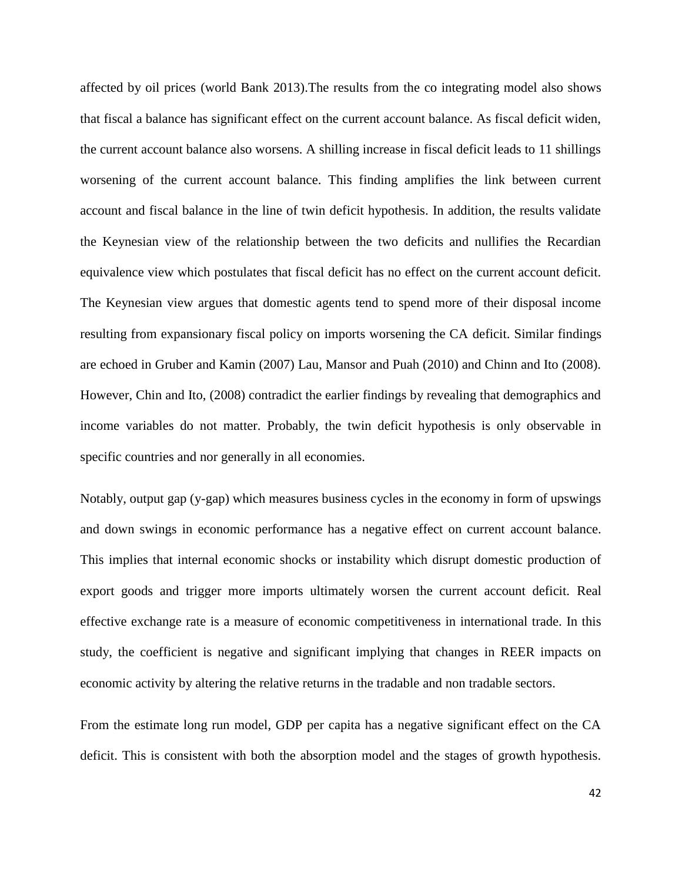affected by oil prices (world Bank 2013).The results from the co integrating model also shows that fiscal a balance has significant effect on the current account balance. As fiscal deficit widen, the current account balance also worsens. A shilling increase in fiscal deficit leads to 11 shillings worsening of the current account balance. This finding amplifies the link between current account and fiscal balance in the line of twin deficit hypothesis. In addition, the results validate the Keynesian view of the relationship between the two deficits and nullifies the Recardian equivalence view which postulates that fiscal deficit has no effect on the current account deficit. The Keynesian view argues that domestic agents tend to spend more of their disposal income resulting from expansionary fiscal policy on imports worsening the CA deficit. Similar findings are echoed in Gruber and Kamin (2007) Lau, Mansor and Puah (2010) and Chinn and Ito (2008). However, Chin and Ito, (2008) contradict the earlier findings by revealing that demographics and income variables do not matter. Probably, the twin deficit hypothesis is only observable in specific countries and nor generally in all economies.

Notably, output gap (y-gap) which measures business cycles in the economy in form of upswings and down swings in economic performance has a negative effect on current account balance. This implies that internal economic shocks or instability which disrupt domestic production of export goods and trigger more imports ultimately worsen the current account deficit. Real effective exchange rate is a measure of economic competitiveness in international trade. In this study, the coefficient is negative and significant implying that changes in REER impacts on economic activity by altering the relative returns in the tradable and non tradable sectors.

From the estimate long run model, GDP per capita has a negative significant effect on the CA deficit. This is consistent with both the absorption model and the stages of growth hypothesis.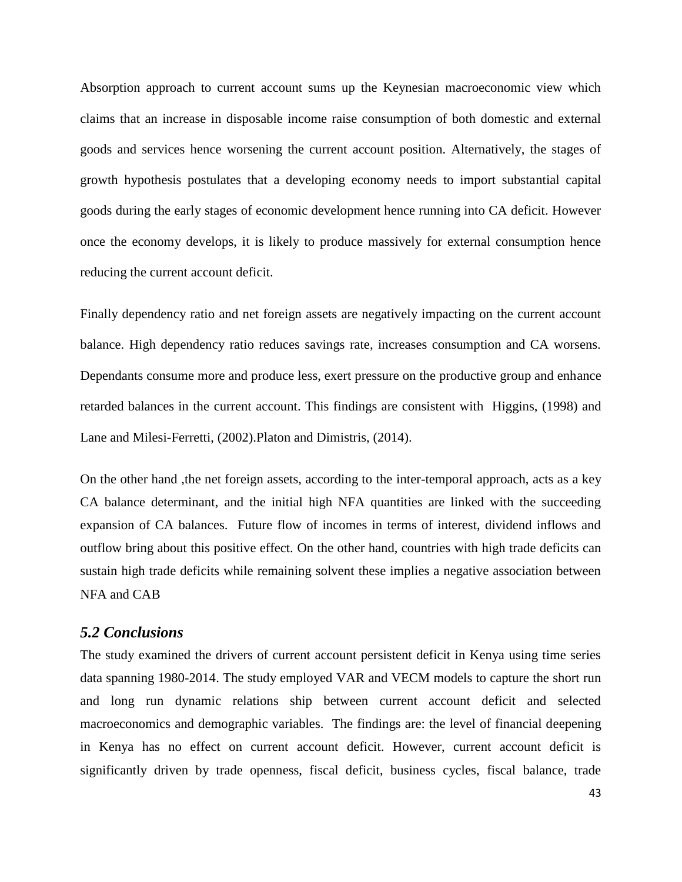Absorption approach to current account sums up the Keynesian macroeconomic view which claims that an increase in disposable income raise consumption of both domestic and external goods and services hence worsening the current account position. Alternatively, the stages of growth hypothesis postulates that a developing economy needs to import substantial capital goods during the early stages of economic development hence running into CA deficit. However once the economy develops, it is likely to produce massively for external consumption hence reducing the current account deficit.

Finally dependency ratio and net foreign assets are negatively impacting on the current account balance. High dependency ratio reduces savings rate, increases consumption and CA worsens. Dependants consume more and produce less, exert pressure on the productive group and enhance retarded balances in the current account. This findings are consistent with Higgins, (1998) and Lane and Milesi-Ferretti, (2002).Platon and Dimistris, (2014).

On the other hand ,the net foreign assets, according to the inter-temporal approach, acts as a key CA balance determinant, and the initial high NFA quantities are linked with the succeeding expansion of CA balances. Future flow of incomes in terms of interest, dividend inflows and outflow bring about this positive effect. On the other hand, countries with high trade deficits can sustain high trade deficits while remaining solvent these implies a negative association between NFA and CAB

### <span id="page-53-0"></span>*5.2 Conclusions*

The study examined the drivers of current account persistent deficit in Kenya using time series data spanning 1980-2014. The study employed VAR and VECM models to capture the short run and long run dynamic relations ship between current account deficit and selected macroeconomics and demographic variables. The findings are: the level of financial deepening in Kenya has no effect on current account deficit. However, current account deficit is significantly driven by trade openness, fiscal deficit, business cycles, fiscal balance, trade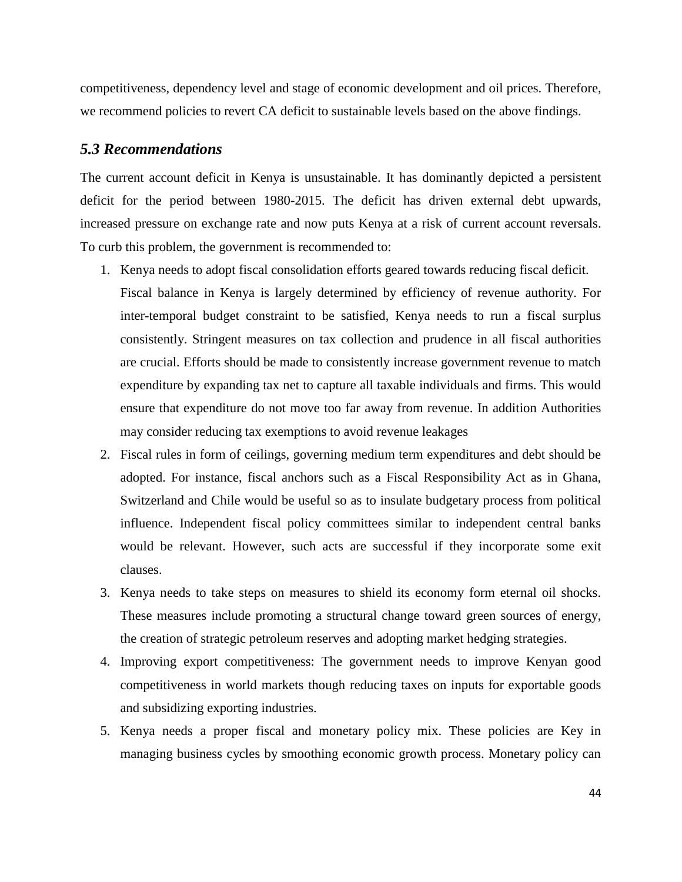competitiveness, dependency level and stage of economic development and oil prices. Therefore, we recommend policies to revert CA deficit to sustainable levels based on the above findings.

### <span id="page-54-0"></span>*5.3 Recommendations*

The current account deficit in Kenya is unsustainable. It has dominantly depicted a persistent deficit for the period between 1980-2015. The deficit has driven external debt upwards, increased pressure on exchange rate and now puts Kenya at a risk of current account reversals. To curb this problem, the government is recommended to:

- 1. Kenya needs to adopt fiscal consolidation efforts geared towards reducing fiscal deficit. Fiscal balance in Kenya is largely determined by efficiency of revenue authority. For inter-temporal budget constraint to be satisfied, Kenya needs to run a fiscal surplus consistently. Stringent measures on tax collection and prudence in all fiscal authorities are crucial. Efforts should be made to consistently increase government revenue to match expenditure by expanding tax net to capture all taxable individuals and firms. This would ensure that expenditure do not move too far away from revenue. In addition Authorities may consider reducing tax exemptions to avoid revenue leakages
- 2. Fiscal rules in form of ceilings, governing medium term expenditures and debt should be adopted. For instance, fiscal anchors such as a Fiscal Responsibility Act as in Ghana, Switzerland and Chile would be useful so as to insulate budgetary process from political influence. Independent fiscal policy committees similar to independent central banks would be relevant. However, such acts are successful if they incorporate some exit clauses.
- 3. Kenya needs to take steps on measures to shield its economy form eternal oil shocks. These measures include promoting a structural change toward green sources of energy, the creation of strategic petroleum reserves and adopting market hedging strategies.
- 4. Improving export competitiveness: The government needs to improve Kenyan good competitiveness in world markets though reducing taxes on inputs for exportable goods and subsidizing exporting industries.
- 5. Kenya needs a proper fiscal and monetary policy mix. These policies are Key in managing business cycles by smoothing economic growth process. Monetary policy can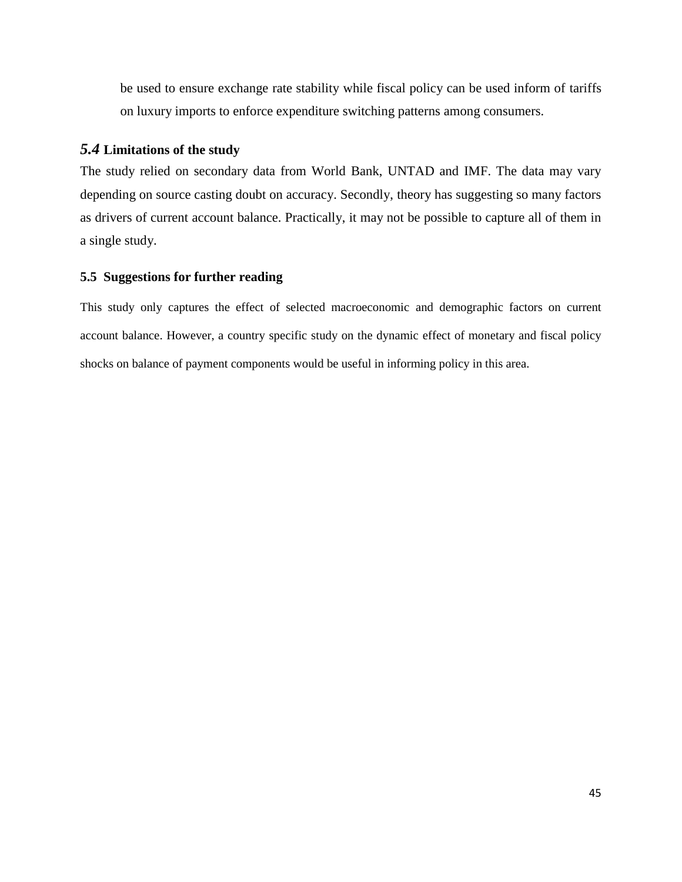be used to ensure exchange rate stability while fiscal policy can be used inform of tariffs on luxury imports to enforce expenditure switching patterns among consumers.

# <span id="page-55-0"></span>*5.4* **Limitations of the study**

The study relied on secondary data from World Bank, UNTAD and IMF. The data may vary depending on source casting doubt on accuracy. Secondly, theory has suggesting so many factors as drivers of current account balance. Practically, it may not be possible to capture all of them in a single study.

### <span id="page-55-1"></span>**5.5 Suggestions for further reading**

This study only captures the effect of selected macroeconomic and demographic factors on current account balance. However, a country specific study on the dynamic effect of monetary and fiscal policy shocks on balance of payment components would be useful in informing policy in this area.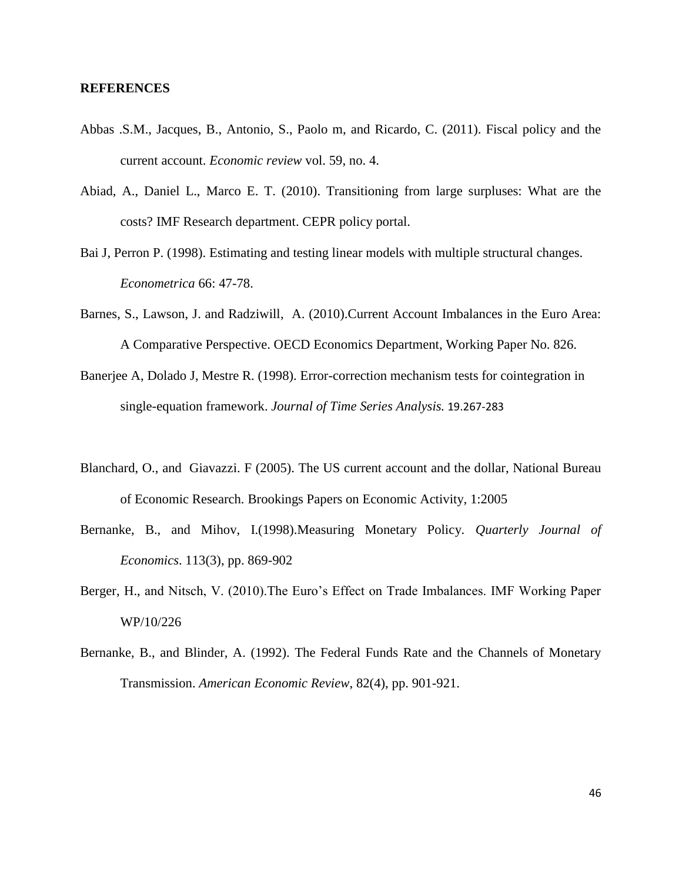#### **REFERENCES**

- Abbas .S.M., Jacques, B., Antonio, S., Paolo m, and Ricardo, C. (2011). Fiscal policy and the current account. *Economic review* vol. 59, no. 4.
- Abiad, A., Daniel L., Marco E. T. (2010). Transitioning from large surpluses: What are the costs? IMF Research department. CEPR policy portal.
- Bai J, Perron P. (1998). Estimating and testing linear models with multiple structural changes. *Econometrica* 66: 47-78.
- Barnes, S., Lawson, J. and Radziwill, A. (2010).Current Account Imbalances in the Euro Area: A Comparative Perspective. OECD Economics Department, Working Paper No. 826.
- Banerjee A, Dolado J, Mestre R. (1998). Error-correction mechanism tests for cointegration in single-equation framework. *Journal of Time Series Analysis.* 19.267-283
- Blanchard, O., and Giavazzi. F (2005). The US current account and the dollar, National Bureau of Economic Research. Brookings Papers on Economic Activity, 1:2005
- Bernanke, B., and Mihov, I.(1998).Measuring Monetary Policy*. Quarterly Journal of Economics*. 113(3), pp. 869-902
- Berger, H., and Nitsch, V. (2010).The Euro's Effect on Trade Imbalances. IMF Working Paper WP/10/226
- Bernanke, B., and Blinder, A. (1992). The Federal Funds Rate and the Channels of Monetary Transmission. *American Economic Review*, 82(4), pp. 901-921.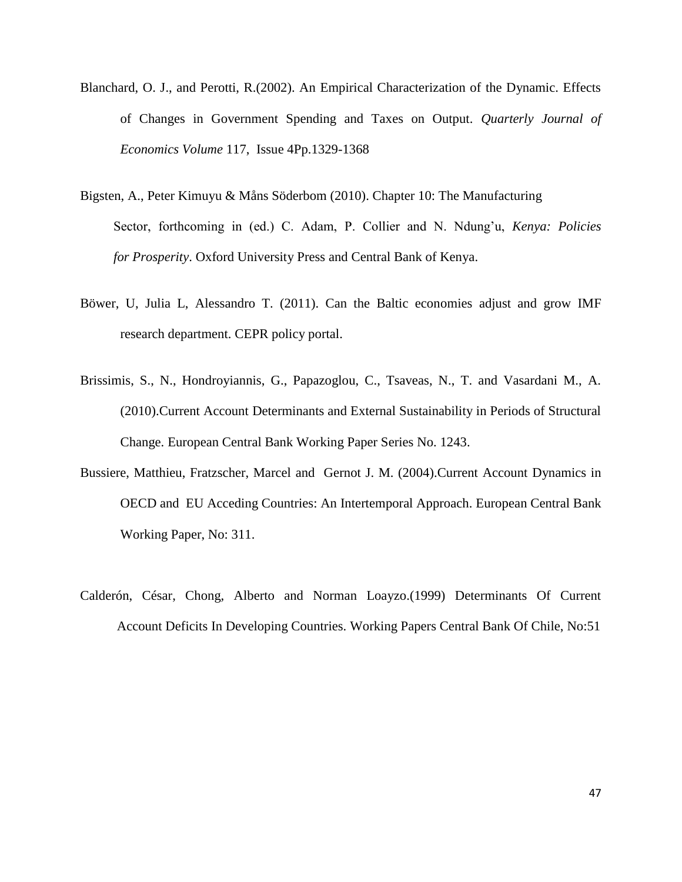- Blanchard, O. J., and Perotti, R.(2002). An Empirical Characterization of the Dynamic. Effects of Changes in Government Spending and Taxes on Output. *Quarterly Journal of Economics Volume* 117, Issue 4Pp.1329-1368
- Bigsten, A., Peter Kimuyu & Måns Söderbom (2010). Chapter 10: The Manufacturing Sector, forthcoming in (ed.) C. Adam, P. Collier and N. Ndung'u, *Kenya: Policies for Prosperity*. Oxford University Press and Central Bank of Kenya.
- Böwer, U, Julia L, Alessandro T. (2011). Can the Baltic economies adjust and grow IMF research department. CEPR policy portal.
- Brissimis, S., N., Hondroyiannis, G., Papazoglou, C., Tsaveas, N., T. and Vasardani M., A. (2010).Current Account Determinants and External Sustainability in Periods of Structural Change. European Central Bank Working Paper Series No. 1243.
- Bussiere, Matthieu, Fratzscher, Marcel and Gernot J. M. (2004).Current Account Dynamics in OECD and EU Acceding Countries: An Intertemporal Approach. European Central Bank Working Paper, No: 311.
- Calderón, César, Chong, Alberto and Norman Loayzo.(1999) Determinants Of Current Account Deficits In Developing Countries. Working Papers Central Bank Of Chile, No:51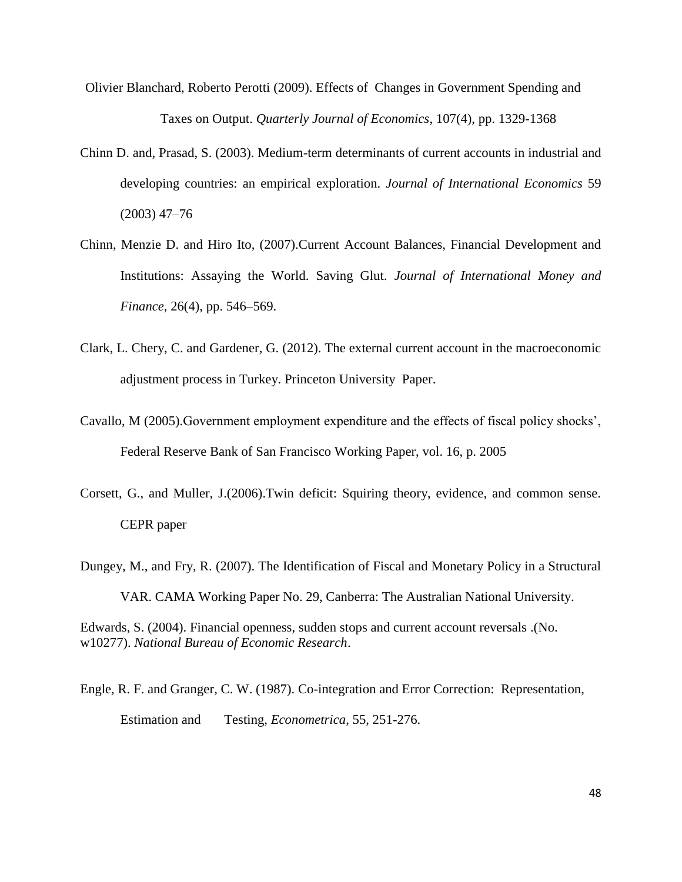- [Olivier Blanchard,](http://www.nber.org/people/olivier_blanchard) [Roberto Perotti](http://www.nber.org/people/roberto_perotti) (2009). Effects of Changes in Government Spending and Taxes on Output. *Quarterly Journal of Economics*, 107(4), pp. 1329-1368
- Chinn D. and, Prasad, S. (2003). Medium-term determinants of current accounts in industrial and developing countries: an empirical exploration. *Journal of International Economics* 59 (2003) 47–76
- Chinn, Menzie D. and Hiro Ito, (2007).Current Account Balances, Financial Development and Institutions: Assaying the World. Saving Glut. *Journal of International Money and Finance*, 26(4), pp. 546–569.
- Clark, L. Chery, C. and Gardener, G. (2012). The external current account in the macroeconomic adjustment process in Turkey. Princeton University Paper.
- Cavallo, M (2005).Government employment expenditure and the effects of fiscal policy shocks', Federal Reserve Bank of San Francisco Working Paper, vol. 16, p. 2005
- Corsett, G., and Muller, J.(2006).Twin deficit: Squiring theory, evidence, and common sense. CEPR paper
- Dungey, M., and Fry, R. (2007). The Identification of Fiscal and Monetary Policy in a Structural VAR. CAMA Working Paper No. 29, Canberra: The Australian National University. Edwards, S. (2004). Financial openness, sudden stops and current account reversals .(No.

Engle, R. F. and Granger, C. W. (1987). Co-integration and Error Correction: Representation,

Estimation and Testing, *Econometrica*, 55, 251-276.

w10277). *National Bureau of Economic Research*.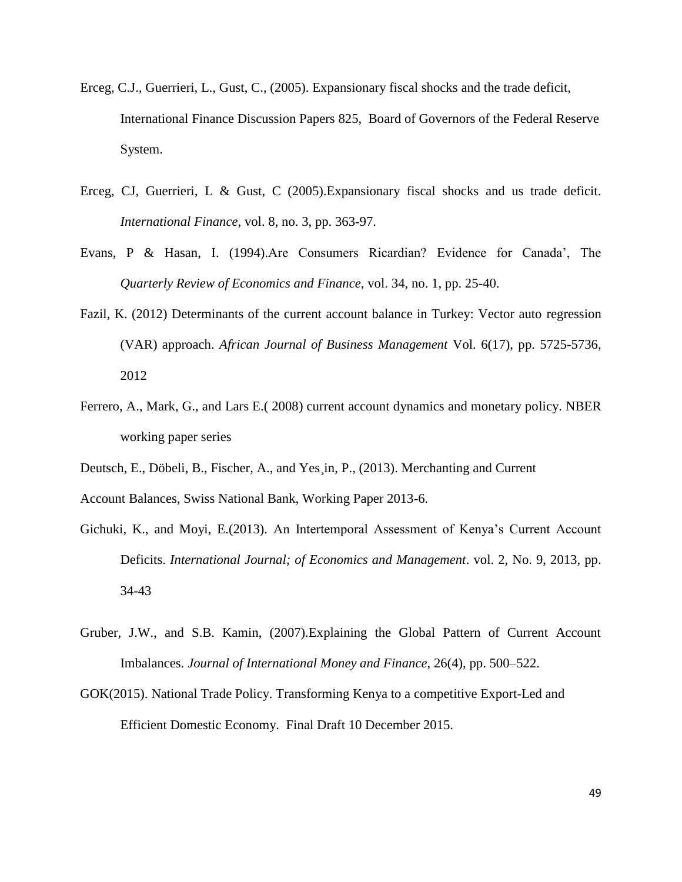- Erceg, C.J., Guerrieri, L., Gust, C., (2005). Expansionary fiscal shocks and the trade deficit, International Finance Discussion Papers 825, Board of Governors of the Federal Reserve System.
- Erceg, CJ, Guerrieri, L & Gust, C (2005).Expansionary fiscal shocks and us trade deficit. *International Finance*, vol. 8, no. 3, pp. 363-97.
- Evans, P & Hasan, I. (1994).Are Consumers Ricardian? Evidence for Canada', The *Quarterly Review of Economics and Finance*, vol. 34, no. 1, pp. 25-40.
- Fazil, K. (2012) Determinants of the current account balance in Turkey: Vector auto regression (VAR) approach. *African Journal of Business Management* Vol. 6(17), pp. 5725-5736, 2012
- Ferrero, A., Mark, G., and Lars E.( 2008) current account dynamics and monetary policy. NBER working paper series
- Deutsch, E., Döbeli, B., Fischer, A., and Yes¸in, P., (2013). Merchanting and Current

Account Balances, Swiss National Bank, Working Paper 2013-6.

- Gichuki, K., and Moyi, E.(2013). An Intertemporal Assessment of Kenya's Current Account Deficits. *International Journal; of Economics and Management*. vol. 2, No. 9, 2013, pp. 34-43
- Gruber, J.W., and S.B. Kamin, (2007).Explaining the Global Pattern of Current Account Imbalances. *Journal of International Money and Finance*, 26(4), pp. 500–522.
- GOK(2015). National Trade Policy. Transforming Kenya to a competitive Export-Led and Efficient Domestic Economy.Final Draft 10 December 2015.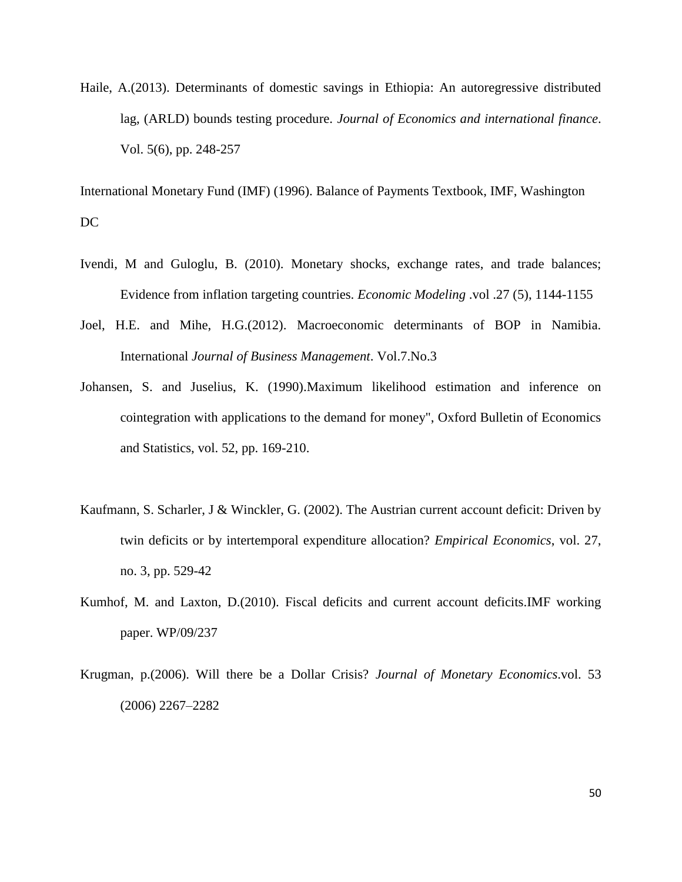Haile, A.(2013). Determinants of domestic savings in Ethiopia: An autoregressive distributed lag, (ARLD) bounds testing procedure. *Journal of Economics and international finance*. Vol. 5(6), pp. 248-257

International Monetary Fund (IMF) (1996). Balance of Payments Textbook, IMF, Washington DC

- Ivendi, M and Guloglu, B. (2010). Monetary shocks, exchange rates, and trade balances; Evidence from inflation targeting countries. *Economic Modeling* .vol .27 (5), 1144-1155
- Joel, H.E. and Mihe, H.G.(2012). Macroeconomic determinants of BOP in Namibia. International *Journal of Business Management*. Vol.7.No.3
- Johansen, S. and Juselius, K. (1990).Maximum likelihood estimation and inference on cointegration with applications to the demand for money", Oxford Bulletin of Economics and Statistics, vol. 52, pp. 169-210.
- Kaufmann, S. Scharler, J & Winckler, G. (2002). The Austrian current account deficit: Driven by twin deficits or by intertemporal expenditure allocation? *Empirical Economics*, vol. 27, no. 3, pp. 529-42
- Kumhof, M. and Laxton, D.(2010). Fiscal deficits and current account deficits.IMF working paper. WP/09/237
- Krugman, p.(2006). Will there be a Dollar Crisis? *Journal of Monetary Economics*.vol. 53 (2006) 2267–2282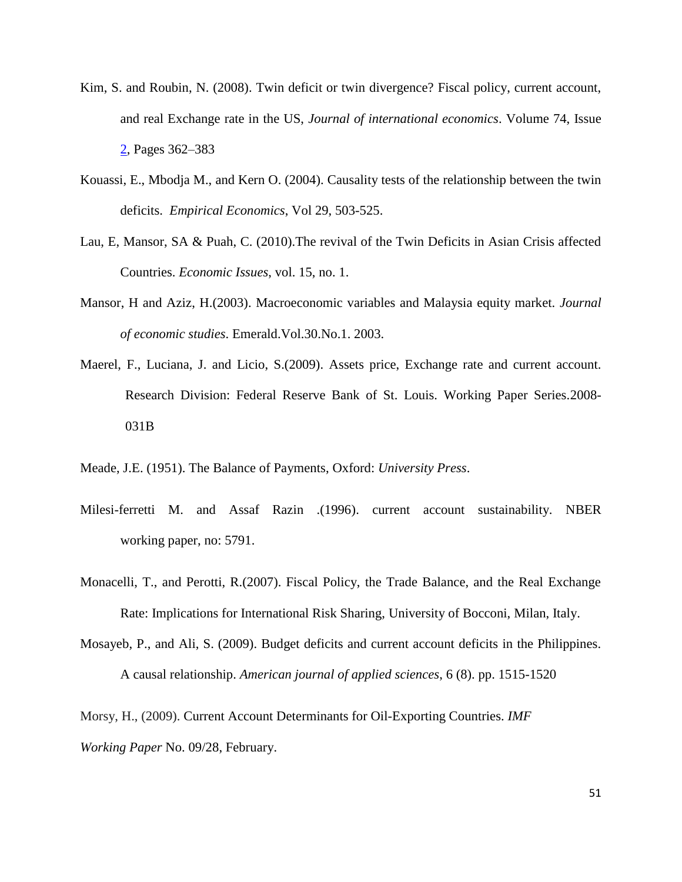- Kim, S. and Roubin, N. (2008). Twin deficit or twin divergence? Fiscal policy, current account, and real Exchange rate in the US, *Journal of international economics*. [Volume 74, Issue](http://www.sciencedirect.com/science/journal/00221996/74/2)  [2,](http://www.sciencedirect.com/science/journal/00221996/74/2) Pages 362–383
- Kouassi, E., Mbodja M., and Kern O. (2004). Causality tests of the relationship between the twin deficits. *Empirical Economics*, Vol 29, 503-525.
- Lau, E, Mansor, SA & Puah, C. (2010).The revival of the Twin Deficits in Asian Crisis affected Countries. *Economic Issues*, vol. 15, no. 1.
- Mansor, H and Aziz, H.(2003). Macroeconomic variables and Malaysia equity market. *Journal of economic studies*. Emerald.Vol.30.No.1. 2003.
- Maerel, F., Luciana, J. and Licio, S.(2009). Assets price, Exchange rate and current account. Research Division: Federal Reserve Bank of St. Louis. Working Paper Series.2008- 031B
- Meade, J.E. (1951). The Balance of Payments, Oxford: *University Press*.
- Milesi-ferretti M. and Assaf Razin .(1996). current account sustainability. NBER working paper, no: 5791.
- Monacelli, T., and Perotti, R.(2007). Fiscal Policy, the Trade Balance, and the Real Exchange Rate: Implications for International Risk Sharing, University of Bocconi, Milan, Italy.
- Mosayeb, P., and Ali, S. (2009). Budget deficits and current account deficits in the Philippines. A causal relationship. *American journal of applied sciences*, 6 (8). pp. 1515-1520

Morsy, H., (2009). Current Account Determinants for Oil-Exporting Countries. *IMF Working Paper* No. 09/28, February.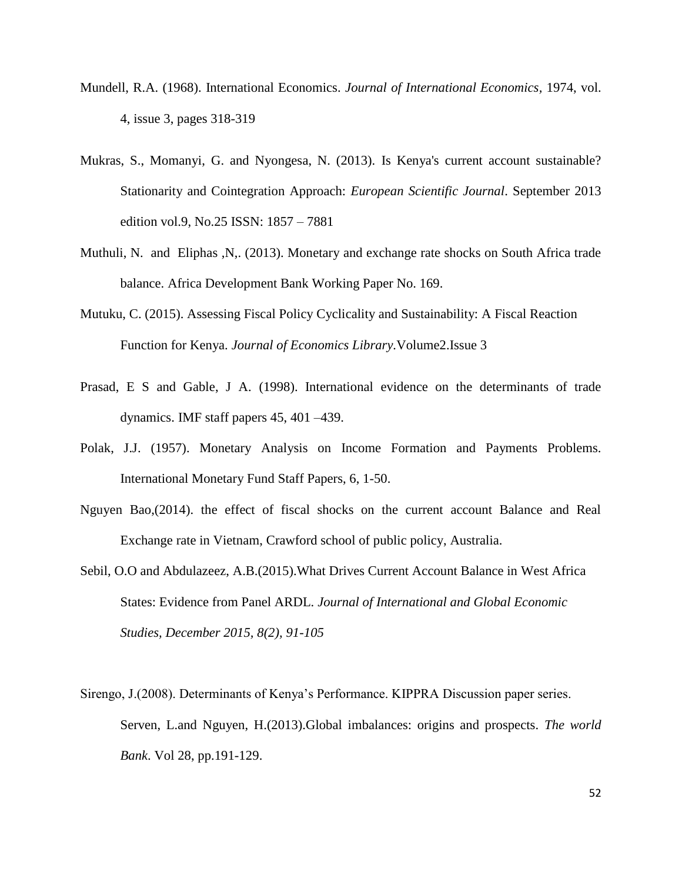- Mundell, R.A. (1968). International Economics. *[Journal of International Economics,](http://econpapers.repec.org/article/eeeinecon/)* 1974, vol. 4, issue 3, pages 318-319
- Mukras, S., Momanyi, G. and Nyongesa, N. (2013). Is Kenya's current account sustainable? Stationarity and Cointegration Approach: *European Scientific Journal*. September 2013 edition vol.9, No.25 ISSN: 1857 – 7881
- Muthuli, N. and Eliphas ,N,. (2013). Monetary and exchange rate shocks on South Africa trade balance. Africa Development Bank Working Paper No. 169.
- Mutuku, C. (2015). Assessing Fiscal Policy Cyclicality and Sustainability: A Fiscal Reaction Function for Kenya. *Journal of Economics Library.*Volume2.Issue 3
- Prasad, E S and Gable, J A. (1998). International evidence on the determinants of trade dynamics. IMF staff papers 45, 401 –439.
- Polak, J.J. (1957). Monetary Analysis on Income Formation and Payments Problems. International Monetary Fund Staff Papers, 6, 1-50.
- Nguyen Bao,(2014). the effect of fiscal shocks on the current account Balance and Real Exchange rate in Vietnam, Crawford school of public policy, Australia.
- Sebil, O.O and Abdulazeez, A.B.(2015).What Drives Current Account Balance in West Africa States: Evidence from Panel ARDL. *Journal of International and Global Economic Studies, December 2015, 8(2), 91-105*
- Sirengo, J.(2008). Determinants of Kenya's Performance. KIPPRA Discussion paper series. Serven, L.and Nguyen, H.(2013).Global imbalances: origins and prospects. *The world Bank*. Vol 28, pp.191-129.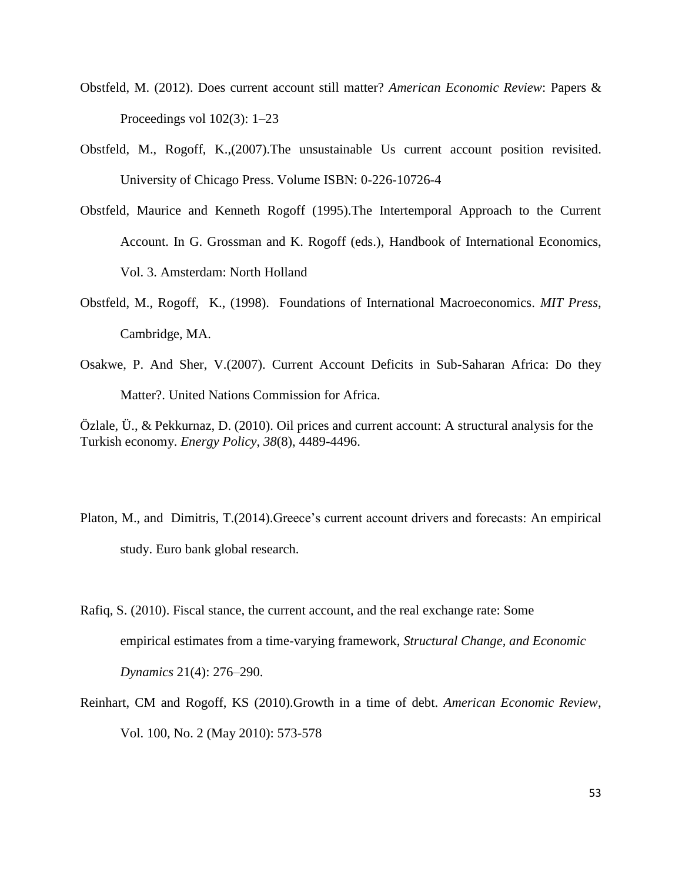- Obstfeld, M. (2012). Does current account still matter? *American Economic Review*: Papers & Proceedings vol 102(3): 1–23
- Obstfeld, M., Rogoff, K.,(2007).The unsustainable Us current account position revisited. University of Chicago Press. Volume ISBN: 0-226-10726-4
- Obstfeld, Maurice and Kenneth Rogoff (1995).The Intertemporal Approach to the Current Account. In G. Grossman and K. Rogoff (eds.), Handbook of International Economics, Vol. 3. Amsterdam: North Holland
- Obstfeld, M., Rogoff, K., (1998). Foundations of International Macroeconomics. *MIT Press*, Cambridge, MA.
- Osakwe, P. And Sher, V.(2007). Current Account Deficits in Sub-Saharan Africa: Do they Matter?. United Nations Commission for Africa.

Özlale, Ü., & Pekkurnaz, D. (2010). Oil prices and current account: A structural analysis for the Turkish economy. *Energy Policy*, *38*(8), 4489-4496.

- Platon, M., and Dimitris, T.(2014).Greece's current account drivers and forecasts: An empirical study. Euro bank global research.
- Rafiq, S. (2010). Fiscal stance, the current account, and the real exchange rate: Some empirical estimates from a time-varying framework, *Structural Change, and Economic Dynamics* 21(4): 276–290.
- Reinhart, CM and Rogoff, KS (2010).Growth in a time of debt. *American Economic Review*, Vol. 100, No. 2 (May 2010): 573-578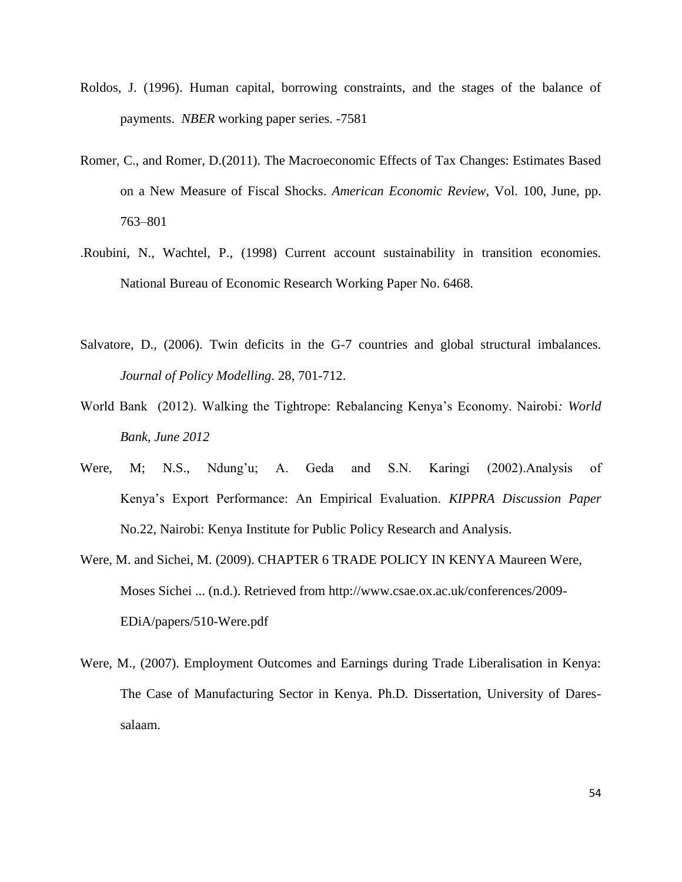- Roldos, J. (1996). Human capital, borrowing constraints, and the stages of the balance of payments. *NBER* working paper series. -7581
- Romer, C., and Romer, D.(2011). The Macroeconomic Effects of Tax Changes: Estimates Based on a New Measure of Fiscal Shocks. *American Economic Review*, Vol. 100, June, pp. 763–801
- .Roubini, N., Wachtel, P., (1998) Current account sustainability in transition economies. National Bureau of Economic Research Working Paper No. 6468.
- Salvatore, D., (2006). Twin deficits in the G-7 countries and global structural imbalances. *Journal of Policy Modelling*. 28, 701-712.
- World Bank (2012). Walking the Tightrope: Rebalancing Kenya's Economy. Nairobi*: World Bank, June 2012*
- Were, M; N.S., Ndung'u; A. Geda and S.N. Karingi (2002).Analysis of Kenya's Export Performance: An Empirical Evaluation. *KIPPRA Discussion Paper* No.22, Nairobi: Kenya Institute for Public Policy Research and Analysis.
- Were, M. and Sichei, M. (2009). CHAPTER 6 TRADE POLICY IN KENYA Maureen Were, Moses Sichei ... (n.d.). Retrieved from http://www.csae.ox.ac.uk/conferences/2009- EDiA/papers/510-Were.pdf
- Were, M., (2007). Employment Outcomes and Earnings during Trade Liberalisation in Kenya: The Case of Manufacturing Sector in Kenya. Ph.D. Dissertation, University of Daressalaam.